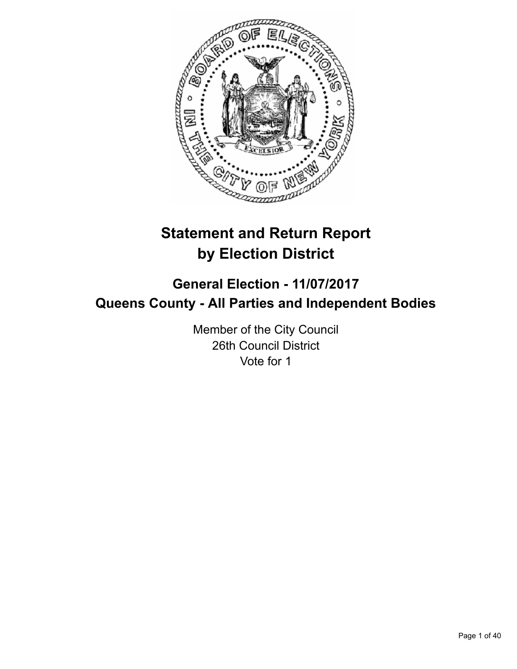

# **Statement and Return Report by Election District**

## **General Election - 11/07/2017 Queens County - All Parties and Independent Bodies**

Member of the City Council 26th Council District Vote for 1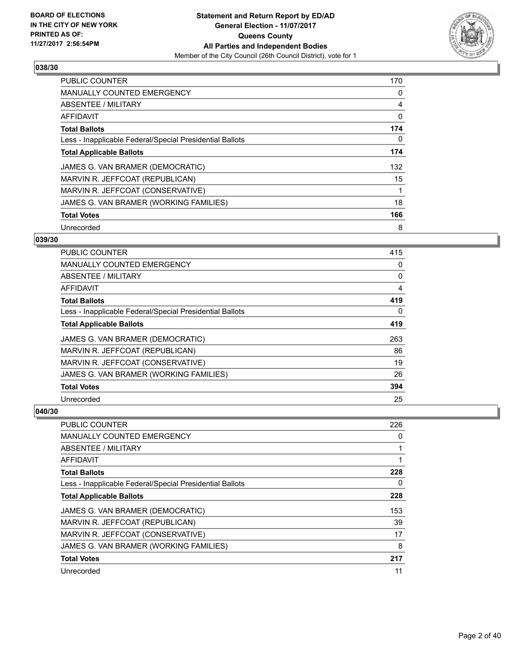

| <b>PUBLIC COUNTER</b>                                    | 170 |
|----------------------------------------------------------|-----|
| <b>MANUALLY COUNTED EMERGENCY</b>                        | 0   |
| ABSENTEE / MILITARY                                      | 4   |
| <b>AFFIDAVIT</b>                                         | 0   |
| <b>Total Ballots</b>                                     | 174 |
| Less - Inapplicable Federal/Special Presidential Ballots | 0   |
| <b>Total Applicable Ballots</b>                          | 174 |
| JAMES G. VAN BRAMER (DEMOCRATIC)                         | 132 |
| MARVIN R. JEFFCOAT (REPUBLICAN)                          | 15  |
| MARVIN R. JEFFCOAT (CONSERVATIVE)                        |     |
| JAMES G. VAN BRAMER (WORKING FAMILIES)                   | 18  |
| <b>Total Votes</b>                                       | 166 |
| Unrecorded                                               | 8   |

## **039/30**

| PUBLIC COUNTER                                           | 415 |
|----------------------------------------------------------|-----|
| <b>MANUALLY COUNTED EMERGENCY</b>                        | 0   |
| ABSENTEE / MILITARY                                      | 0   |
| AFFIDAVIT                                                | 4   |
| <b>Total Ballots</b>                                     | 419 |
| Less - Inapplicable Federal/Special Presidential Ballots | 0   |
| <b>Total Applicable Ballots</b>                          | 419 |
| JAMES G. VAN BRAMER (DEMOCRATIC)                         | 263 |
| MARVIN R. JEFFCOAT (REPUBLICAN)                          | 86  |
| MARVIN R. JEFFCOAT (CONSERVATIVE)                        | 19  |
| JAMES G. VAN BRAMER (WORKING FAMILIES)                   | 26  |
| <b>Total Votes</b>                                       | 394 |
| Unrecorded                                               | 25  |

| PUBLIC COUNTER                                           | 226 |
|----------------------------------------------------------|-----|
| MANUALLY COUNTED EMERGENCY                               | 0   |
| ABSENTEE / MILITARY                                      |     |
| AFFIDAVIT                                                |     |
| <b>Total Ballots</b>                                     | 228 |
| Less - Inapplicable Federal/Special Presidential Ballots | 0   |
| <b>Total Applicable Ballots</b>                          | 228 |
| JAMES G. VAN BRAMER (DEMOCRATIC)                         | 153 |
| MARVIN R. JEFFCOAT (REPUBLICAN)                          | 39  |
| MARVIN R. JEFFCOAT (CONSERVATIVE)                        | 17  |
| JAMES G. VAN BRAMER (WORKING FAMILIES)                   | 8   |
| <b>Total Votes</b>                                       | 217 |
| Unrecorded                                               | 11  |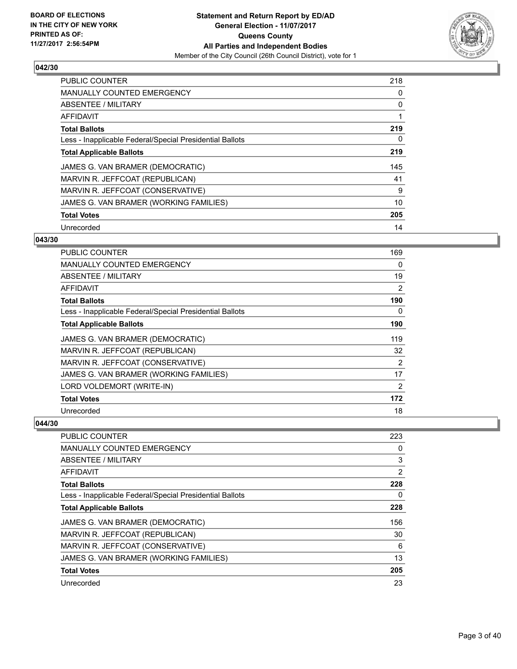

| PUBLIC COUNTER                                           | 218 |
|----------------------------------------------------------|-----|
| <b>MANUALLY COUNTED EMERGENCY</b>                        | 0   |
| ABSENTEE / MILITARY                                      | 0   |
| <b>AFFIDAVIT</b>                                         | 1   |
| <b>Total Ballots</b>                                     | 219 |
| Less - Inapplicable Federal/Special Presidential Ballots | 0   |
| <b>Total Applicable Ballots</b>                          | 219 |
| JAMES G. VAN BRAMER (DEMOCRATIC)                         | 145 |
| MARVIN R. JEFFCOAT (REPUBLICAN)                          | 41  |
| MARVIN R. JEFFCOAT (CONSERVATIVE)                        | 9   |
| JAMES G. VAN BRAMER (WORKING FAMILIES)                   | 10  |
| <b>Total Votes</b>                                       | 205 |
| Unrecorded                                               | 14  |

## **043/30**

| PUBLIC COUNTER                                           | 169            |
|----------------------------------------------------------|----------------|
| <b>MANUALLY COUNTED EMERGENCY</b>                        | 0              |
| ABSENTEE / MILITARY                                      | 19             |
| AFFIDAVIT                                                | $\overline{2}$ |
| <b>Total Ballots</b>                                     | 190            |
| Less - Inapplicable Federal/Special Presidential Ballots | 0              |
| <b>Total Applicable Ballots</b>                          | 190            |
| JAMES G. VAN BRAMER (DEMOCRATIC)                         | 119            |
| MARVIN R. JEFFCOAT (REPUBLICAN)                          | 32             |
| MARVIN R. JEFFCOAT (CONSERVATIVE)                        | 2              |
| JAMES G. VAN BRAMER (WORKING FAMILIES)                   | 17             |
| LORD VOLDEMORT (WRITE-IN)                                | 2              |
| <b>Total Votes</b>                                       | 172            |
| Unrecorded                                               | 18             |

| PUBLIC COUNTER                                           | 223            |
|----------------------------------------------------------|----------------|
| <b>MANUALLY COUNTED EMERGENCY</b>                        | 0              |
| ABSENTEE / MILITARY                                      | 3              |
| AFFIDAVIT                                                | $\overline{2}$ |
| <b>Total Ballots</b>                                     | 228            |
| Less - Inapplicable Federal/Special Presidential Ballots | 0              |
| <b>Total Applicable Ballots</b>                          | 228            |
| JAMES G. VAN BRAMER (DEMOCRATIC)                         | 156            |
| MARVIN R. JEFFCOAT (REPUBLICAN)                          | 30             |
| MARVIN R. JEFFCOAT (CONSERVATIVE)                        | 6              |
| JAMES G. VAN BRAMER (WORKING FAMILIES)                   | 13             |
| <b>Total Votes</b>                                       | 205            |
| Unrecorded                                               | 23             |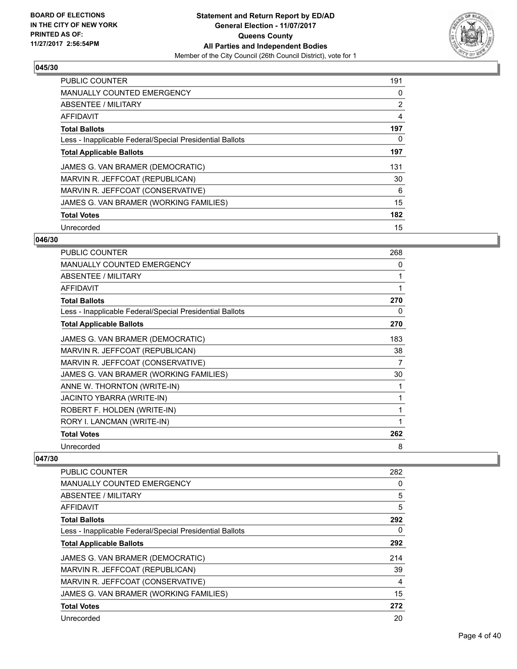

| <b>PUBLIC COUNTER</b>                                    | 191 |
|----------------------------------------------------------|-----|
| <b>MANUALLY COUNTED EMERGENCY</b>                        | 0   |
| ABSENTEE / MILITARY                                      | 2   |
| <b>AFFIDAVIT</b>                                         | 4   |
| <b>Total Ballots</b>                                     | 197 |
| Less - Inapplicable Federal/Special Presidential Ballots | 0   |
| <b>Total Applicable Ballots</b>                          | 197 |
| JAMES G. VAN BRAMER (DEMOCRATIC)                         | 131 |
| MARVIN R. JEFFCOAT (REPUBLICAN)                          | 30  |
| MARVIN R. JEFFCOAT (CONSERVATIVE)                        | 6   |
| JAMES G. VAN BRAMER (WORKING FAMILIES)                   | 15  |
| <b>Total Votes</b>                                       | 182 |
| Unrecorded                                               | 15  |

## **046/30**

| PUBLIC COUNTER                                           | 268 |
|----------------------------------------------------------|-----|
| MANUALLY COUNTED EMERGENCY                               | 0   |
| ABSENTEE / MILITARY                                      | 1   |
| <b>AFFIDAVIT</b>                                         | 1   |
| <b>Total Ballots</b>                                     | 270 |
| Less - Inapplicable Federal/Special Presidential Ballots | 0   |
| <b>Total Applicable Ballots</b>                          | 270 |
| JAMES G. VAN BRAMER (DEMOCRATIC)                         | 183 |
| MARVIN R. JEFFCOAT (REPUBLICAN)                          | 38  |
| MARVIN R. JEFFCOAT (CONSERVATIVE)                        | 7   |
| JAMES G. VAN BRAMER (WORKING FAMILIES)                   | 30  |
| ANNE W. THORNTON (WRITE-IN)                              | 1   |
| JACINTO YBARRA (WRITE-IN)                                | 1   |
| ROBERT F. HOLDEN (WRITE-IN)                              | 1   |
| RORY I. LANCMAN (WRITE-IN)                               | 1   |
| <b>Total Votes</b>                                       | 262 |
| Unrecorded                                               | 8   |

| <b>PUBLIC COUNTER</b>                                    | 282 |
|----------------------------------------------------------|-----|
| <b>MANUALLY COUNTED EMERGENCY</b>                        | 0   |
| ABSENTEE / MILITARY                                      | 5   |
| AFFIDAVIT                                                | 5   |
| <b>Total Ballots</b>                                     | 292 |
| Less - Inapplicable Federal/Special Presidential Ballots | 0   |
| <b>Total Applicable Ballots</b>                          | 292 |
| JAMES G. VAN BRAMER (DEMOCRATIC)                         | 214 |
| MARVIN R. JEFFCOAT (REPUBLICAN)                          | 39  |
| MARVIN R. JEFFCOAT (CONSERVATIVE)                        | 4   |
| JAMES G. VAN BRAMER (WORKING FAMILIES)                   | 15  |
| <b>Total Votes</b>                                       | 272 |
| Unrecorded                                               | 20  |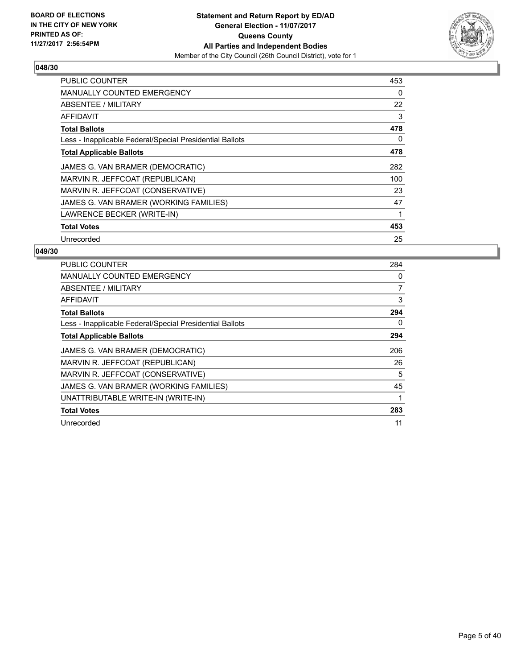

| <b>PUBLIC COUNTER</b>                                    | 453 |
|----------------------------------------------------------|-----|
| MANUALLY COUNTED EMERGENCY                               | 0   |
| <b>ABSENTEE / MILITARY</b>                               | 22  |
| AFFIDAVIT                                                | 3   |
| <b>Total Ballots</b>                                     | 478 |
| Less - Inapplicable Federal/Special Presidential Ballots | 0   |
| <b>Total Applicable Ballots</b>                          | 478 |
| JAMES G. VAN BRAMER (DEMOCRATIC)                         | 282 |
| MARVIN R. JEFFCOAT (REPUBLICAN)                          | 100 |
| MARVIN R. JEFFCOAT (CONSERVATIVE)                        | 23  |
| JAMES G. VAN BRAMER (WORKING FAMILIES)                   | 47  |
| LAWRENCE BECKER (WRITE-IN)                               |     |
| <b>Total Votes</b>                                       | 453 |
| Unrecorded                                               | 25  |

| <b>PUBLIC COUNTER</b>                                    | 284            |
|----------------------------------------------------------|----------------|
| <b>MANUALLY COUNTED EMERGENCY</b>                        | 0              |
| ABSENTEE / MILITARY                                      | $\overline{7}$ |
| AFFIDAVIT                                                | 3              |
| <b>Total Ballots</b>                                     | 294            |
| Less - Inapplicable Federal/Special Presidential Ballots | 0              |
| <b>Total Applicable Ballots</b>                          | 294            |
| JAMES G. VAN BRAMER (DEMOCRATIC)                         | 206            |
| MARVIN R. JEFFCOAT (REPUBLICAN)                          | 26             |
| MARVIN R. JEFFCOAT (CONSERVATIVE)                        | 5              |
| JAMES G. VAN BRAMER (WORKING FAMILIES)                   | 45             |
| UNATTRIBUTABLE WRITE-IN (WRITE-IN)                       |                |
| <b>Total Votes</b>                                       | 283            |
| Unrecorded                                               | 11             |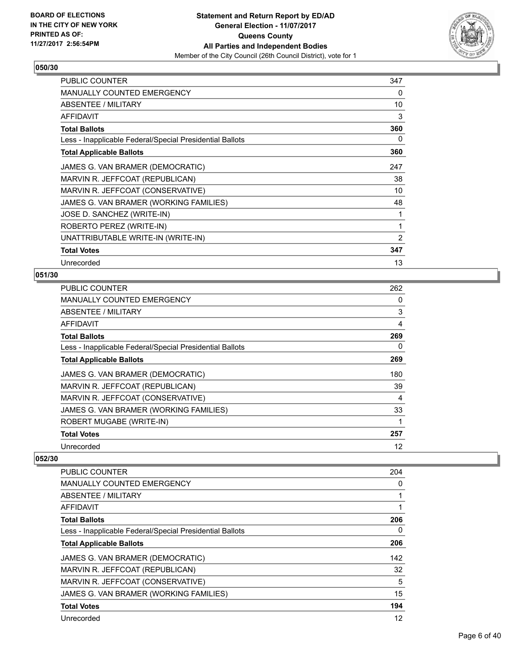

| <b>PUBLIC COUNTER</b>                                    | 347 |
|----------------------------------------------------------|-----|
| MANUALLY COUNTED EMERGENCY                               | 0   |
| ABSENTEE / MILITARY                                      | 10  |
| <b>AFFIDAVIT</b>                                         | 3   |
| <b>Total Ballots</b>                                     | 360 |
| Less - Inapplicable Federal/Special Presidential Ballots | 0   |
| <b>Total Applicable Ballots</b>                          | 360 |
| JAMES G. VAN BRAMER (DEMOCRATIC)                         | 247 |
| MARVIN R. JEFFCOAT (REPUBLICAN)                          | 38  |
| MARVIN R. JEFFCOAT (CONSERVATIVE)                        | 10  |
| JAMES G. VAN BRAMER (WORKING FAMILIES)                   | 48  |
| JOSE D. SANCHEZ (WRITE-IN)                               | 1   |
| ROBERTO PEREZ (WRITE-IN)                                 | 1   |
| UNATTRIBUTABLE WRITE-IN (WRITE-IN)                       | 2   |
| <b>Total Votes</b>                                       | 347 |
| Unrecorded                                               | 13  |

## **051/30**

| <b>PUBLIC COUNTER</b>                                    | 262 |
|----------------------------------------------------------|-----|
| <b>MANUALLY COUNTED EMERGENCY</b>                        | 0   |
| ABSENTEE / MILITARY                                      | 3   |
| AFFIDAVIT                                                | 4   |
| <b>Total Ballots</b>                                     | 269 |
| Less - Inapplicable Federal/Special Presidential Ballots | 0   |
| <b>Total Applicable Ballots</b>                          | 269 |
| JAMES G. VAN BRAMER (DEMOCRATIC)                         | 180 |
| MARVIN R. JEFFCOAT (REPUBLICAN)                          | 39  |
| MARVIN R. JEFFCOAT (CONSERVATIVE)                        | 4   |
| JAMES G. VAN BRAMER (WORKING FAMILIES)                   | 33  |
| ROBERT MUGABE (WRITE-IN)                                 | 1   |
| <b>Total Votes</b>                                       | 257 |
| Unrecorded                                               | 12  |

| <b>PUBLIC COUNTER</b>                                    | 204 |
|----------------------------------------------------------|-----|
| <b>MANUALLY COUNTED EMERGENCY</b>                        | 0   |
| ABSENTEE / MILITARY                                      |     |
| AFFIDAVIT                                                |     |
| <b>Total Ballots</b>                                     | 206 |
| Less - Inapplicable Federal/Special Presidential Ballots | 0   |
| <b>Total Applicable Ballots</b>                          | 206 |
| JAMES G. VAN BRAMER (DEMOCRATIC)                         | 142 |
| MARVIN R. JEFFCOAT (REPUBLICAN)                          | 32  |
| MARVIN R. JEFFCOAT (CONSERVATIVE)                        | 5   |
| JAMES G. VAN BRAMER (WORKING FAMILIES)                   | 15  |
| <b>Total Votes</b>                                       | 194 |
| Unrecorded                                               | 12  |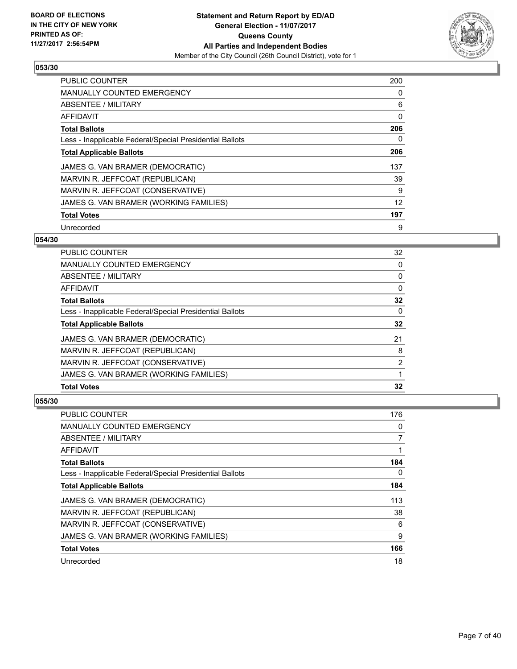

| <b>PUBLIC COUNTER</b>                                    | 200 |
|----------------------------------------------------------|-----|
| <b>MANUALLY COUNTED EMERGENCY</b>                        | 0   |
| ABSENTEE / MILITARY                                      | 6   |
| <b>AFFIDAVIT</b>                                         | 0   |
| <b>Total Ballots</b>                                     | 206 |
| Less - Inapplicable Federal/Special Presidential Ballots | 0   |
| <b>Total Applicable Ballots</b>                          | 206 |
| JAMES G. VAN BRAMER (DEMOCRATIC)                         | 137 |
| MARVIN R. JEFFCOAT (REPUBLICAN)                          | 39  |
| MARVIN R. JEFFCOAT (CONSERVATIVE)                        | 9   |
| JAMES G. VAN BRAMER (WORKING FAMILIES)                   | 12  |
| <b>Total Votes</b>                                       | 197 |
| Unrecorded                                               | 9   |

## **054/30**

| <b>PUBLIC COUNTER</b>                                    | 32 |
|----------------------------------------------------------|----|
| <b>MANUALLY COUNTED EMERGENCY</b>                        | 0  |
| ABSENTEE / MILITARY                                      | 0  |
| AFFIDAVIT                                                | 0  |
| <b>Total Ballots</b>                                     | 32 |
| Less - Inapplicable Federal/Special Presidential Ballots | 0  |
| <b>Total Applicable Ballots</b>                          | 32 |
| JAMES G. VAN BRAMER (DEMOCRATIC)                         | 21 |
| MARVIN R. JEFFCOAT (REPUBLICAN)                          | 8  |
| MARVIN R. JEFFCOAT (CONSERVATIVE)                        | 2  |
| JAMES G. VAN BRAMER (WORKING FAMILIES)                   |    |
| <b>Total Votes</b>                                       | 32 |

| <b>PUBLIC COUNTER</b>                                    | 176 |
|----------------------------------------------------------|-----|
| <b>MANUALLY COUNTED EMERGENCY</b>                        | 0   |
| ABSENTEE / MILITARY                                      | 7   |
| AFFIDAVIT                                                |     |
| <b>Total Ballots</b>                                     | 184 |
| Less - Inapplicable Federal/Special Presidential Ballots | 0   |
| <b>Total Applicable Ballots</b>                          | 184 |
| JAMES G. VAN BRAMER (DEMOCRATIC)                         | 113 |
| MARVIN R. JEFFCOAT (REPUBLICAN)                          | 38  |
| MARVIN R. JEFFCOAT (CONSERVATIVE)                        | 6   |
| JAMES G. VAN BRAMER (WORKING FAMILIES)                   | 9   |
| <b>Total Votes</b>                                       | 166 |
| Unrecorded                                               | 18  |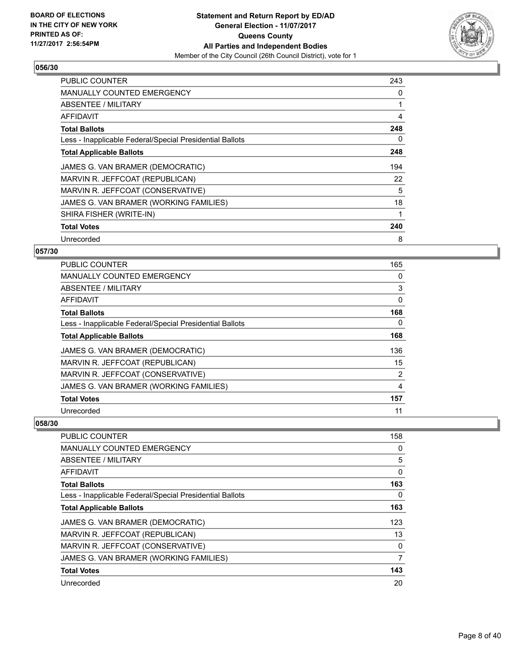

| <b>PUBLIC COUNTER</b>                                    | 243 |
|----------------------------------------------------------|-----|
| MANUALLY COUNTED EMERGENCY                               | 0   |
| ABSENTEE / MILITARY                                      | 1   |
| AFFIDAVIT                                                | 4   |
| <b>Total Ballots</b>                                     | 248 |
| Less - Inapplicable Federal/Special Presidential Ballots | 0   |
| <b>Total Applicable Ballots</b>                          | 248 |
| JAMES G. VAN BRAMER (DEMOCRATIC)                         | 194 |
| MARVIN R. JEFFCOAT (REPUBLICAN)                          | 22  |
| MARVIN R. JEFFCOAT (CONSERVATIVE)                        | 5   |
| JAMES G. VAN BRAMER (WORKING FAMILIES)                   | 18  |
|                                                          |     |
| SHIRA FISHER (WRITE-IN)                                  |     |
| <b>Total Votes</b>                                       | 240 |

## **057/30**

| <b>PUBLIC COUNTER</b>                                    | 165 |
|----------------------------------------------------------|-----|
| <b>MANUALLY COUNTED EMERGENCY</b>                        | 0   |
| ABSENTEE / MILITARY                                      | 3   |
| AFFIDAVIT                                                | 0   |
| <b>Total Ballots</b>                                     | 168 |
| Less - Inapplicable Federal/Special Presidential Ballots | 0   |
| <b>Total Applicable Ballots</b>                          | 168 |
| JAMES G. VAN BRAMER (DEMOCRATIC)                         | 136 |
| MARVIN R. JEFFCOAT (REPUBLICAN)                          | 15  |
| MARVIN R. JEFFCOAT (CONSERVATIVE)                        | 2   |
| JAMES G. VAN BRAMER (WORKING FAMILIES)                   | 4   |
| <b>Total Votes</b>                                       | 157 |
| Unrecorded                                               | 11  |

| <b>PUBLIC COUNTER</b>                                    | 158          |
|----------------------------------------------------------|--------------|
| <b>MANUALLY COUNTED EMERGENCY</b>                        | 0            |
| ABSENTEE / MILITARY                                      | 5            |
| AFFIDAVIT                                                | 0            |
| <b>Total Ballots</b>                                     | 163          |
| Less - Inapplicable Federal/Special Presidential Ballots | 0            |
| <b>Total Applicable Ballots</b>                          | 163          |
| JAMES G. VAN BRAMER (DEMOCRATIC)                         | 123          |
| MARVIN R. JEFFCOAT (REPUBLICAN)                          | 13           |
| MARVIN R. JEFFCOAT (CONSERVATIVE)                        | $\mathbf{0}$ |
| JAMES G. VAN BRAMER (WORKING FAMILIES)                   | 7            |
| <b>Total Votes</b>                                       | 143          |
| Unrecorded                                               | 20           |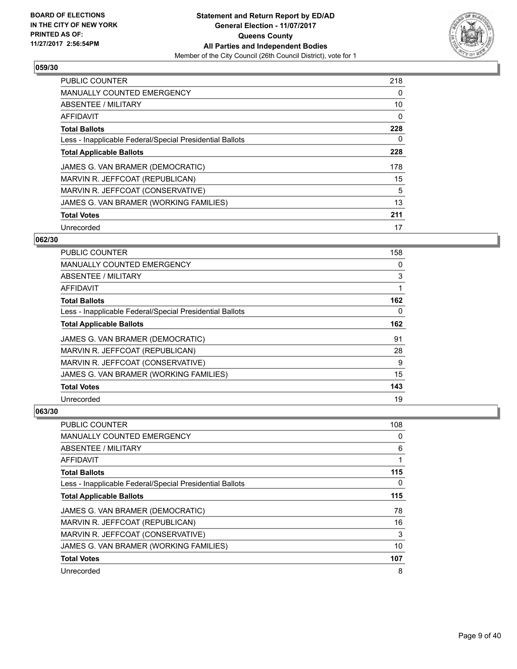

| PUBLIC COUNTER                                           | 218 |
|----------------------------------------------------------|-----|
| <b>MANUALLY COUNTED EMERGENCY</b>                        | 0   |
| ABSENTEE / MILITARY                                      | 10  |
| <b>AFFIDAVIT</b>                                         | 0   |
| <b>Total Ballots</b>                                     | 228 |
| Less - Inapplicable Federal/Special Presidential Ballots | 0   |
| <b>Total Applicable Ballots</b>                          | 228 |
| JAMES G. VAN BRAMER (DEMOCRATIC)                         | 178 |
| MARVIN R. JEFFCOAT (REPUBLICAN)                          | 15  |
| MARVIN R. JEFFCOAT (CONSERVATIVE)                        | 5   |
| JAMES G. VAN BRAMER (WORKING FAMILIES)                   | 13  |
| <b>Total Votes</b>                                       | 211 |
| Unrecorded                                               | 17  |

## **062/30**

| PUBLIC COUNTER                                           | 158 |
|----------------------------------------------------------|-----|
| MANUALLY COUNTED EMERGENCY                               | 0   |
| ABSENTEE / MILITARY                                      | 3   |
| AFFIDAVIT                                                | 1   |
| <b>Total Ballots</b>                                     | 162 |
| Less - Inapplicable Federal/Special Presidential Ballots | 0   |
| <b>Total Applicable Ballots</b>                          | 162 |
| JAMES G. VAN BRAMER (DEMOCRATIC)                         | 91  |
| MARVIN R. JEFFCOAT (REPUBLICAN)                          | 28  |
| MARVIN R. JEFFCOAT (CONSERVATIVE)                        | 9   |
| JAMES G. VAN BRAMER (WORKING FAMILIES)                   | 15  |
| <b>Total Votes</b>                                       | 143 |
| Unrecorded                                               | 19  |

| PUBLIC COUNTER                                           | 108 |
|----------------------------------------------------------|-----|
| <b>MANUALLY COUNTED EMERGENCY</b>                        | 0   |
| ABSENTEE / MILITARY                                      | 6   |
| AFFIDAVIT                                                |     |
| <b>Total Ballots</b>                                     | 115 |
| Less - Inapplicable Federal/Special Presidential Ballots | 0   |
| <b>Total Applicable Ballots</b>                          | 115 |
| JAMES G. VAN BRAMER (DEMOCRATIC)                         | 78  |
| MARVIN R. JEFFCOAT (REPUBLICAN)                          | 16  |
| MARVIN R. JEFFCOAT (CONSERVATIVE)                        | 3   |
| JAMES G. VAN BRAMER (WORKING FAMILIES)                   | 10  |
| <b>Total Votes</b>                                       | 107 |
| Unrecorded                                               | 8   |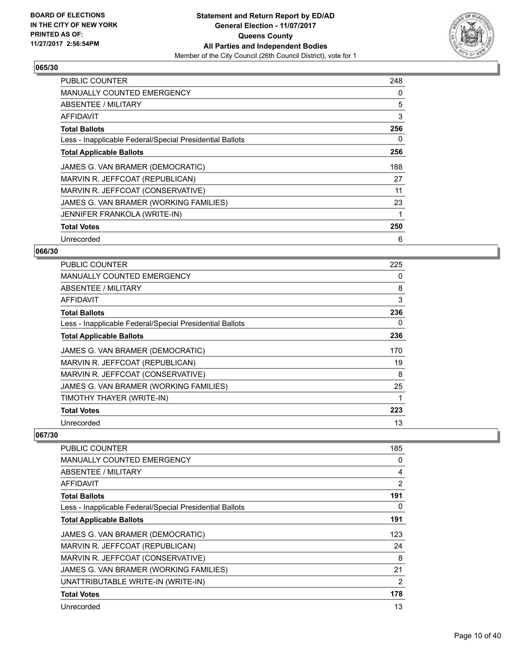

| <b>PUBLIC COUNTER</b>                                    | 248 |
|----------------------------------------------------------|-----|
| MANUALLY COUNTED EMERGENCY                               | 0   |
| <b>ABSENTEE / MILITARY</b>                               | 5   |
| AFFIDAVIT                                                | 3   |
| <b>Total Ballots</b>                                     | 256 |
| Less - Inapplicable Federal/Special Presidential Ballots | 0   |
| <b>Total Applicable Ballots</b>                          | 256 |
| JAMES G. VAN BRAMER (DEMOCRATIC)                         | 188 |
| MARVIN R. JEFFCOAT (REPUBLICAN)                          | 27  |
| MARVIN R. JEFFCOAT (CONSERVATIVE)                        | 11  |
| JAMES G. VAN BRAMER (WORKING FAMILIES)                   | 23  |
| JENNIFER FRANKOLA (WRITE-IN)                             |     |
| <b>Total Votes</b>                                       | 250 |
| Unrecorded                                               | 6   |

## **066/30**

| PUBLIC COUNTER                                           | 225 |
|----------------------------------------------------------|-----|
| <b>MANUALLY COUNTED EMERGENCY</b>                        | 0   |
| ABSENTEE / MILITARY                                      | 8   |
| <b>AFFIDAVIT</b>                                         | 3   |
| <b>Total Ballots</b>                                     | 236 |
| Less - Inapplicable Federal/Special Presidential Ballots | 0   |
| <b>Total Applicable Ballots</b>                          | 236 |
| JAMES G. VAN BRAMER (DEMOCRATIC)                         | 170 |
| MARVIN R. JEFFCOAT (REPUBLICAN)                          | 19  |
| MARVIN R. JEFFCOAT (CONSERVATIVE)                        | 8   |
| JAMES G. VAN BRAMER (WORKING FAMILIES)                   | 25  |
| TIMOTHY THAYER (WRITE-IN)                                |     |
| <b>Total Votes</b>                                       | 223 |
| Unrecorded                                               | 13  |

| PUBLIC COUNTER                                           | 185            |
|----------------------------------------------------------|----------------|
| <b>MANUALLY COUNTED EMERGENCY</b>                        | 0              |
| <b>ABSENTEE / MILITARY</b>                               | 4              |
| AFFIDAVIT                                                | 2              |
| <b>Total Ballots</b>                                     | 191            |
| Less - Inapplicable Federal/Special Presidential Ballots | 0              |
| <b>Total Applicable Ballots</b>                          | 191            |
| JAMES G. VAN BRAMER (DEMOCRATIC)                         | 123            |
| MARVIN R. JEFFCOAT (REPUBLICAN)                          | 24             |
| MARVIN R. JEFFCOAT (CONSERVATIVE)                        | 8              |
| JAMES G. VAN BRAMER (WORKING FAMILIES)                   | 21             |
| UNATTRIBUTABLE WRITE-IN (WRITE-IN)                       | $\overline{2}$ |
| <b>Total Votes</b>                                       | 178            |
| Unrecorded                                               | 13             |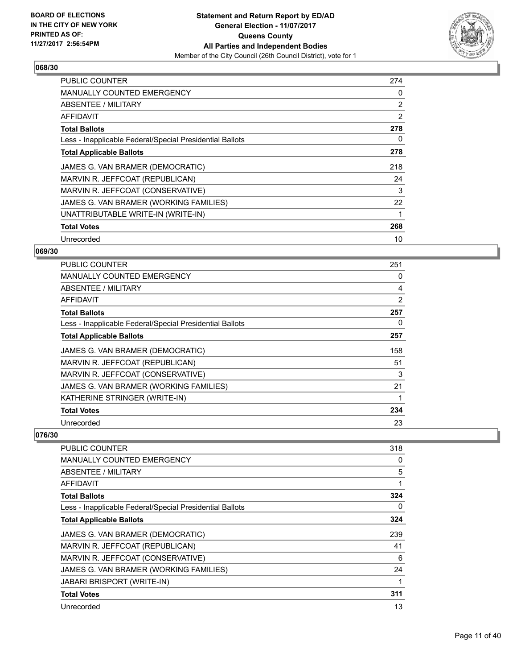

| <b>PUBLIC COUNTER</b>                                    | 274 |
|----------------------------------------------------------|-----|
| <b>MANUALLY COUNTED EMERGENCY</b>                        | 0   |
| ABSENTEE / MILITARY                                      | 2   |
| AFFIDAVIT                                                | 2   |
| <b>Total Ballots</b>                                     | 278 |
| Less - Inapplicable Federal/Special Presidential Ballots | 0   |
| <b>Total Applicable Ballots</b>                          | 278 |
| JAMES G. VAN BRAMER (DEMOCRATIC)                         | 218 |
| MARVIN R. JEFFCOAT (REPUBLICAN)                          | 24  |
| MARVIN R. JEFFCOAT (CONSERVATIVE)                        | 3   |
| JAMES G. VAN BRAMER (WORKING FAMILIES)                   | 22  |
| UNATTRIBUTABLE WRITE-IN (WRITE-IN)                       |     |
| <b>Total Votes</b>                                       | 268 |
| Unrecorded                                               | 10  |

## **069/30**

| PUBLIC COUNTER                                           | 251 |
|----------------------------------------------------------|-----|
| <b>MANUALLY COUNTED EMERGENCY</b>                        | 0   |
| ABSENTEE / MILITARY                                      | 4   |
| AFFIDAVIT                                                | 2   |
| <b>Total Ballots</b>                                     | 257 |
| Less - Inapplicable Federal/Special Presidential Ballots | 0   |
| <b>Total Applicable Ballots</b>                          | 257 |
| JAMES G. VAN BRAMER (DEMOCRATIC)                         | 158 |
| MARVIN R. JEFFCOAT (REPUBLICAN)                          | 51  |
| MARVIN R. JEFFCOAT (CONSERVATIVE)                        | 3   |
| JAMES G. VAN BRAMER (WORKING FAMILIES)                   | 21  |
| KATHERINE STRINGER (WRITE-IN)                            |     |
| <b>Total Votes</b>                                       | 234 |
| Unrecorded                                               | 23  |

| <b>PUBLIC COUNTER</b>                                    | 318 |
|----------------------------------------------------------|-----|
| <b>MANUALLY COUNTED EMERGENCY</b>                        | 0   |
| ABSENTEE / MILITARY                                      | 5   |
| AFFIDAVIT                                                | 1   |
| <b>Total Ballots</b>                                     | 324 |
| Less - Inapplicable Federal/Special Presidential Ballots | 0   |
| <b>Total Applicable Ballots</b>                          | 324 |
| JAMES G. VAN BRAMER (DEMOCRATIC)                         | 239 |
| MARVIN R. JEFFCOAT (REPUBLICAN)                          | 41  |
| MARVIN R. JEFFCOAT (CONSERVATIVE)                        | 6   |
| JAMES G. VAN BRAMER (WORKING FAMILIES)                   | 24  |
| <b>JABARI BRISPORT (WRITE-IN)</b>                        |     |
| <b>Total Votes</b>                                       | 311 |
| Unrecorded                                               | 13  |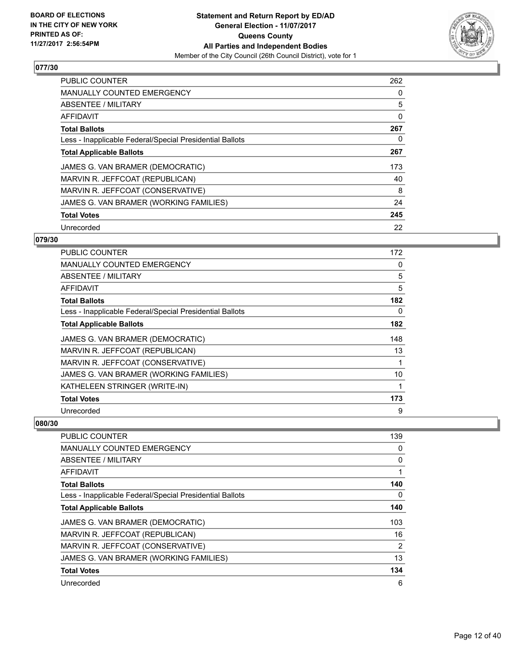

| <b>PUBLIC COUNTER</b>                                    | 262 |
|----------------------------------------------------------|-----|
| <b>MANUALLY COUNTED EMERGENCY</b>                        | 0   |
| ABSENTEE / MILITARY                                      | 5   |
| <b>AFFIDAVIT</b>                                         | 0   |
| <b>Total Ballots</b>                                     | 267 |
| Less - Inapplicable Federal/Special Presidential Ballots | 0   |
| <b>Total Applicable Ballots</b>                          | 267 |
| JAMES G. VAN BRAMER (DEMOCRATIC)                         | 173 |
| MARVIN R. JEFFCOAT (REPUBLICAN)                          | 40  |
| MARVIN R. JEFFCOAT (CONSERVATIVE)                        | 8   |
| JAMES G. VAN BRAMER (WORKING FAMILIES)                   | 24  |
| <b>Total Votes</b>                                       | 245 |
| Unrecorded                                               | 22  |

## **079/30**

| PUBLIC COUNTER                                           | 172 |
|----------------------------------------------------------|-----|
| <b>MANUALLY COUNTED EMERGENCY</b>                        | 0   |
| ABSENTEE / MILITARY                                      | 5   |
| AFFIDAVIT                                                | 5   |
| <b>Total Ballots</b>                                     | 182 |
| Less - Inapplicable Federal/Special Presidential Ballots | 0   |
| <b>Total Applicable Ballots</b>                          | 182 |
| JAMES G. VAN BRAMER (DEMOCRATIC)                         | 148 |
| MARVIN R. JEFFCOAT (REPUBLICAN)                          | 13  |
| MARVIN R. JEFFCOAT (CONSERVATIVE)                        | 1   |
| JAMES G. VAN BRAMER (WORKING FAMILIES)                   | 10  |
| KATHELEEN STRINGER (WRITE-IN)                            | 1   |
| <b>Total Votes</b>                                       | 173 |
| Unrecorded                                               | 9   |

| PUBLIC COUNTER                                           | 139 |
|----------------------------------------------------------|-----|
| <b>MANUALLY COUNTED EMERGENCY</b>                        | 0   |
| ABSENTEE / MILITARY                                      | 0   |
| AFFIDAVIT                                                |     |
| <b>Total Ballots</b>                                     | 140 |
| Less - Inapplicable Federal/Special Presidential Ballots | 0   |
| <b>Total Applicable Ballots</b>                          | 140 |
| JAMES G. VAN BRAMER (DEMOCRATIC)                         | 103 |
| MARVIN R. JEFFCOAT (REPUBLICAN)                          | 16  |
| MARVIN R. JEFFCOAT (CONSERVATIVE)                        | 2   |
| JAMES G. VAN BRAMER (WORKING FAMILIES)                   | 13  |
| <b>Total Votes</b>                                       | 134 |
| Unrecorded                                               | 6   |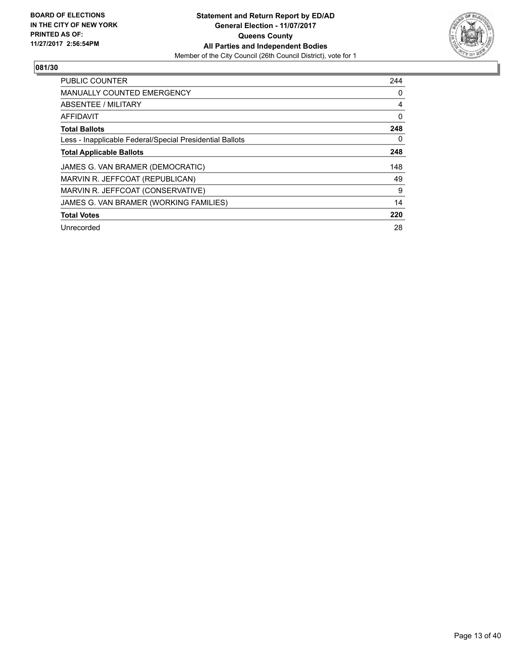

| <b>PUBLIC COUNTER</b>                                    | 244 |
|----------------------------------------------------------|-----|
| <b>MANUALLY COUNTED EMERGENCY</b>                        | 0   |
| ABSENTEE / MILITARY                                      | 4   |
| AFFIDAVIT                                                | 0   |
| <b>Total Ballots</b>                                     | 248 |
| Less - Inapplicable Federal/Special Presidential Ballots | 0   |
| <b>Total Applicable Ballots</b>                          | 248 |
| JAMES G. VAN BRAMER (DEMOCRATIC)                         | 148 |
| MARVIN R. JEFFCOAT (REPUBLICAN)                          | 49  |
| MARVIN R. JEFFCOAT (CONSERVATIVE)                        | 9   |
| JAMES G. VAN BRAMER (WORKING FAMILIES)                   | 14  |
| <b>Total Votes</b>                                       | 220 |
| Unrecorded                                               | 28  |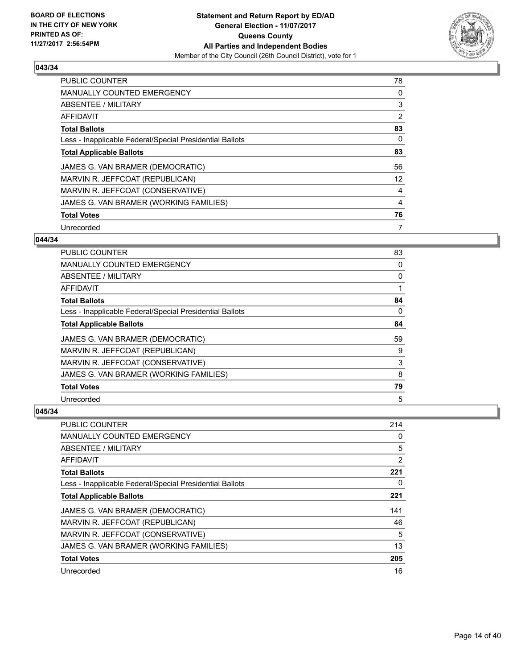

| <b>PUBLIC COUNTER</b>                                    | 78 |
|----------------------------------------------------------|----|
| <b>MANUALLY COUNTED EMERGENCY</b>                        | 0  |
| ABSENTEE / MILITARY                                      | 3  |
| AFFIDAVIT                                                | 2  |
| <b>Total Ballots</b>                                     | 83 |
| Less - Inapplicable Federal/Special Presidential Ballots | 0  |
| <b>Total Applicable Ballots</b>                          | 83 |
| JAMES G. VAN BRAMER (DEMOCRATIC)                         | 56 |
| MARVIN R. JEFFCOAT (REPUBLICAN)                          | 12 |
| MARVIN R. JEFFCOAT (CONSERVATIVE)                        | 4  |
| JAMES G. VAN BRAMER (WORKING FAMILIES)                   | 4  |
| <b>Total Votes</b>                                       | 76 |
| Unrecorded                                               | 7  |

## **044/34**

| PUBLIC COUNTER                                           | 83       |
|----------------------------------------------------------|----------|
| <b>MANUALLY COUNTED EMERGENCY</b>                        | 0        |
| <b>ABSENTEE / MILITARY</b>                               | 0        |
| <b>AFFIDAVIT</b>                                         |          |
| <b>Total Ballots</b>                                     | 84       |
| Less - Inapplicable Federal/Special Presidential Ballots | $\Omega$ |
| <b>Total Applicable Ballots</b>                          | 84       |
| JAMES G. VAN BRAMER (DEMOCRATIC)                         | 59       |
| MARVIN R. JEFFCOAT (REPUBLICAN)                          | 9        |
| MARVIN R. JEFFCOAT (CONSERVATIVE)                        | 3        |
| JAMES G. VAN BRAMER (WORKING FAMILIES)                   | 8        |
| <b>Total Votes</b>                                       | 79       |
| Unrecorded                                               | 5        |

| PUBLIC COUNTER                                           | 214 |
|----------------------------------------------------------|-----|
| <b>MANUALLY COUNTED EMERGENCY</b>                        | 0   |
| ABSENTEE / MILITARY                                      | 5   |
| AFFIDAVIT                                                | 2   |
| <b>Total Ballots</b>                                     | 221 |
| Less - Inapplicable Federal/Special Presidential Ballots | 0   |
| <b>Total Applicable Ballots</b>                          | 221 |
| JAMES G. VAN BRAMER (DEMOCRATIC)                         | 141 |
| MARVIN R. JEFFCOAT (REPUBLICAN)                          | 46  |
| MARVIN R. JEFFCOAT (CONSERVATIVE)                        | 5   |
| JAMES G. VAN BRAMER (WORKING FAMILIES)                   | 13  |
| <b>Total Votes</b>                                       | 205 |
| Unrecorded                                               | 16  |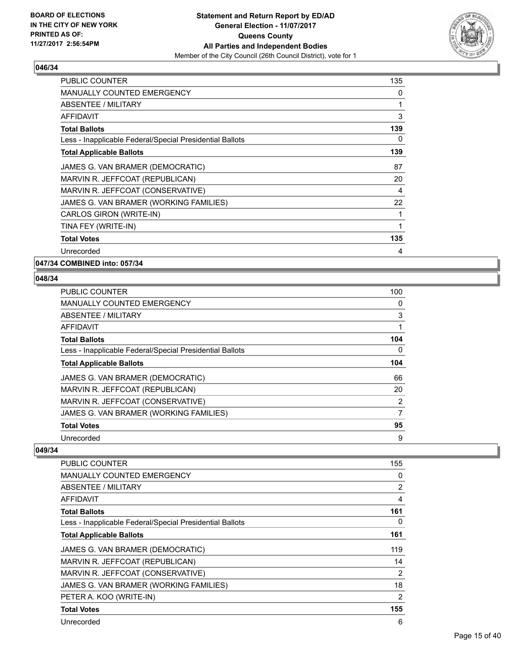

| <b>PUBLIC COUNTER</b>                                    | 135 |
|----------------------------------------------------------|-----|
| <b>MANUALLY COUNTED EMERGENCY</b>                        | 0   |
| <b>ABSENTEE / MILITARY</b>                               | 1   |
| <b>AFFIDAVIT</b>                                         | 3   |
| <b>Total Ballots</b>                                     | 139 |
| Less - Inapplicable Federal/Special Presidential Ballots | 0   |
| <b>Total Applicable Ballots</b>                          | 139 |
| JAMES G. VAN BRAMER (DEMOCRATIC)                         | 87  |
| MARVIN R. JEFFCOAT (REPUBLICAN)                          | 20  |
| MARVIN R. JEFFCOAT (CONSERVATIVE)                        | 4   |
| JAMES G. VAN BRAMER (WORKING FAMILIES)                   | 22  |
| CARLOS GIRON (WRITE-IN)                                  | 1   |
| TINA FEY (WRITE-IN)                                      | 1   |
| <b>Total Votes</b>                                       | 135 |
| Unrecorded                                               | 4   |

**047/34 COMBINED into: 057/34**

## **048/34**

| <b>PUBLIC COUNTER</b>                                    | 100 |
|----------------------------------------------------------|-----|
| <b>MANUALLY COUNTED EMERGENCY</b>                        | 0   |
| ABSENTEE / MILITARY                                      | 3   |
| AFFIDAVIT                                                |     |
| <b>Total Ballots</b>                                     | 104 |
| Less - Inapplicable Federal/Special Presidential Ballots | 0   |
| <b>Total Applicable Ballots</b>                          | 104 |
| JAMES G. VAN BRAMER (DEMOCRATIC)                         | 66  |
| MARVIN R. JEFFCOAT (REPUBLICAN)                          | 20  |
| MARVIN R. JEFFCOAT (CONSERVATIVE)                        | 2   |
| JAMES G. VAN BRAMER (WORKING FAMILIES)                   | 7   |
| <b>Total Votes</b>                                       | 95  |
| Unrecorded                                               | 9   |

| <b>PUBLIC COUNTER</b>                                    | 155            |
|----------------------------------------------------------|----------------|
| <b>MANUALLY COUNTED EMERGENCY</b>                        | 0              |
| ABSENTEE / MILITARY                                      | $\overline{2}$ |
| AFFIDAVIT                                                | 4              |
| <b>Total Ballots</b>                                     | 161            |
| Less - Inapplicable Federal/Special Presidential Ballots | 0              |
| <b>Total Applicable Ballots</b>                          | 161            |
| JAMES G. VAN BRAMER (DEMOCRATIC)                         | 119            |
| MARVIN R. JEFFCOAT (REPUBLICAN)                          | 14             |
| MARVIN R. JEFFCOAT (CONSERVATIVE)                        | 2              |
| JAMES G. VAN BRAMER (WORKING FAMILIES)                   | 18             |
| PETER A. KOO (WRITE-IN)                                  | 2              |
| <b>Total Votes</b>                                       | 155            |
| Unrecorded                                               | 6              |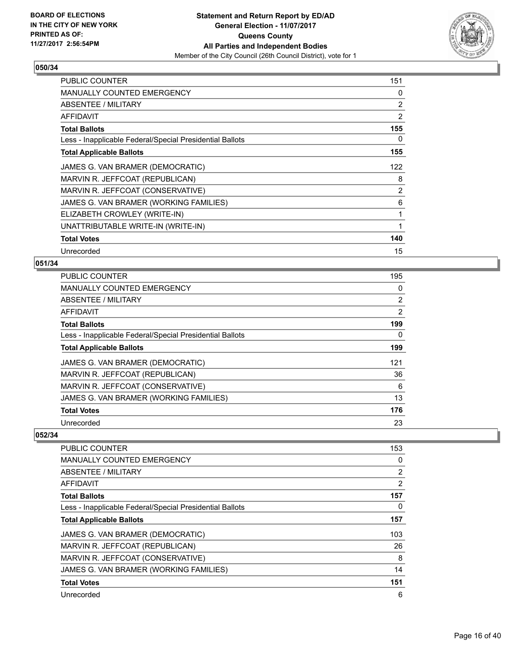

| <b>PUBLIC COUNTER</b>                                    | 151            |
|----------------------------------------------------------|----------------|
| MANUALLY COUNTED EMERGENCY                               | 0              |
| ABSENTEE / MILITARY                                      | $\overline{2}$ |
| <b>AFFIDAVIT</b>                                         | 2              |
| <b>Total Ballots</b>                                     | 155            |
| Less - Inapplicable Federal/Special Presidential Ballots | 0              |
| <b>Total Applicable Ballots</b>                          | 155            |
| JAMES G. VAN BRAMER (DEMOCRATIC)                         | 122            |
| MARVIN R. JEFFCOAT (REPUBLICAN)                          | 8              |
| MARVIN R. JEFFCOAT (CONSERVATIVE)                        | $\overline{2}$ |
| JAMES G. VAN BRAMER (WORKING FAMILIES)                   | 6              |
| ELIZABETH CROWLEY (WRITE-IN)                             | 1              |
| UNATTRIBUTABLE WRITE-IN (WRITE-IN)                       | 1              |
| <b>Total Votes</b>                                       | 140            |
| Unrecorded                                               | 15             |

## **051/34**

| <b>PUBLIC COUNTER</b>                                    | 195            |
|----------------------------------------------------------|----------------|
| <b>MANUALLY COUNTED EMERGENCY</b>                        | 0              |
| ABSENTEE / MILITARY                                      | $\overline{2}$ |
| <b>AFFIDAVIT</b>                                         | $\overline{2}$ |
| <b>Total Ballots</b>                                     | 199            |
| Less - Inapplicable Federal/Special Presidential Ballots | 0              |
| <b>Total Applicable Ballots</b>                          | 199            |
| JAMES G. VAN BRAMER (DEMOCRATIC)                         | 121            |
| MARVIN R. JEFFCOAT (REPUBLICAN)                          | 36             |
| MARVIN R. JEFFCOAT (CONSERVATIVE)                        | 6              |
| JAMES G. VAN BRAMER (WORKING FAMILIES)                   | 13             |
| <b>Total Votes</b>                                       | 176            |
| Unrecorded                                               | 23             |

| <b>PUBLIC COUNTER</b>                                    | 153            |
|----------------------------------------------------------|----------------|
| <b>MANUALLY COUNTED EMERGENCY</b>                        | 0              |
| ABSENTEE / MILITARY                                      | $\overline{2}$ |
| AFFIDAVIT                                                | 2              |
| <b>Total Ballots</b>                                     | 157            |
| Less - Inapplicable Federal/Special Presidential Ballots | 0              |
| <b>Total Applicable Ballots</b>                          | 157            |
| JAMES G. VAN BRAMER (DEMOCRATIC)                         | 103            |
| MARVIN R. JEFFCOAT (REPUBLICAN)                          | 26             |
| MARVIN R. JEFFCOAT (CONSERVATIVE)                        | 8              |
| JAMES G. VAN BRAMER (WORKING FAMILIES)                   | 14             |
| <b>Total Votes</b>                                       | 151            |
| Unrecorded                                               | 6              |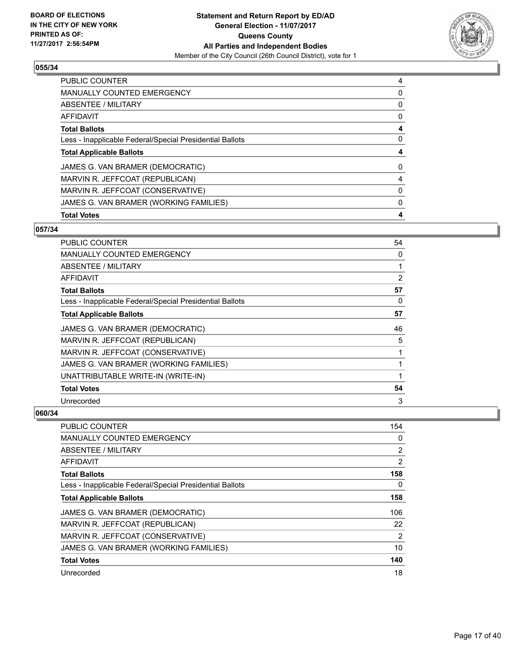

| <b>PUBLIC COUNTER</b>                                    | 4 |
|----------------------------------------------------------|---|
| MANUALLY COUNTED EMERGENCY                               | 0 |
| ABSENTEE / MILITARY                                      | 0 |
| AFFIDAVIT                                                | 0 |
| <b>Total Ballots</b>                                     | 4 |
| Less - Inapplicable Federal/Special Presidential Ballots | 0 |
| <b>Total Applicable Ballots</b>                          | 4 |
| JAMES G. VAN BRAMER (DEMOCRATIC)                         | 0 |
| MARVIN R. JEFFCOAT (REPUBLICAN)                          | 4 |
| MARVIN R. JEFFCOAT (CONSERVATIVE)                        | 0 |
| JAMES G. VAN BRAMER (WORKING FAMILIES)                   | 0 |
| <b>Total Votes</b>                                       | 4 |

## **057/34**

| PUBLIC COUNTER                                           | 54 |
|----------------------------------------------------------|----|
| <b>MANUALLY COUNTED EMERGENCY</b>                        | 0  |
| ABSENTEE / MILITARY                                      |    |
| AFFIDAVIT                                                | 2  |
| <b>Total Ballots</b>                                     | 57 |
| Less - Inapplicable Federal/Special Presidential Ballots | 0  |
| <b>Total Applicable Ballots</b>                          | 57 |
| JAMES G. VAN BRAMER (DEMOCRATIC)                         | 46 |
| MARVIN R. JEFFCOAT (REPUBLICAN)                          | 5  |
| MARVIN R. JEFFCOAT (CONSERVATIVE)                        | 1  |
| JAMES G. VAN BRAMER (WORKING FAMILIES)                   |    |
| UNATTRIBUTABLE WRITE-IN (WRITE-IN)                       |    |
| <b>Total Votes</b>                                       | 54 |
| Unrecorded                                               | 3  |

| <b>PUBLIC COUNTER</b>                                    | 154 |
|----------------------------------------------------------|-----|
| MANUALLY COUNTED EMERGENCY                               | 0   |
| ABSENTEE / MILITARY                                      | 2   |
| AFFIDAVIT                                                | 2   |
| <b>Total Ballots</b>                                     | 158 |
| Less - Inapplicable Federal/Special Presidential Ballots | 0   |
| <b>Total Applicable Ballots</b>                          | 158 |
| JAMES G. VAN BRAMER (DEMOCRATIC)                         | 106 |
| MARVIN R. JEFFCOAT (REPUBLICAN)                          | 22  |
| MARVIN R. JEFFCOAT (CONSERVATIVE)                        | 2   |
| JAMES G. VAN BRAMER (WORKING FAMILIES)                   | 10  |
| <b>Total Votes</b>                                       | 140 |
| Unrecorded                                               | 18  |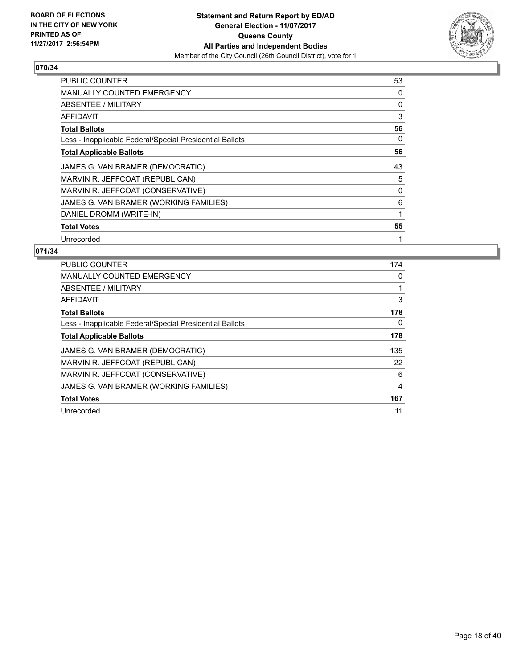

| <b>PUBLIC COUNTER</b>                                    | 53 |
|----------------------------------------------------------|----|
| <b>MANUALLY COUNTED EMERGENCY</b>                        | 0  |
| ABSENTEE / MILITARY                                      | 0  |
| AFFIDAVIT                                                | 3  |
| <b>Total Ballots</b>                                     | 56 |
| Less - Inapplicable Federal/Special Presidential Ballots | 0  |
| <b>Total Applicable Ballots</b>                          | 56 |
| JAMES G. VAN BRAMER (DEMOCRATIC)                         | 43 |
| MARVIN R. JEFFCOAT (REPUBLICAN)                          | 5  |
| MARVIN R. JEFFCOAT (CONSERVATIVE)                        | 0  |
| JAMES G. VAN BRAMER (WORKING FAMILIES)                   | 6  |
| DANIEL DROMM (WRITE-IN)                                  | 1  |
| <b>Total Votes</b>                                       | 55 |
| Unrecorded                                               | 1  |

| <b>PUBLIC COUNTER</b>                                    | 174 |
|----------------------------------------------------------|-----|
| <b>MANUALLY COUNTED EMERGENCY</b>                        | 0   |
| ABSENTEE / MILITARY                                      |     |
| AFFIDAVIT                                                | 3   |
| <b>Total Ballots</b>                                     | 178 |
| Less - Inapplicable Federal/Special Presidential Ballots | 0   |
| <b>Total Applicable Ballots</b>                          | 178 |
| JAMES G. VAN BRAMER (DEMOCRATIC)                         | 135 |
| MARVIN R. JEFFCOAT (REPUBLICAN)                          | 22  |
| MARVIN R. JEFFCOAT (CONSERVATIVE)                        | 6   |
| JAMES G. VAN BRAMER (WORKING FAMILIES)                   | 4   |
| <b>Total Votes</b>                                       | 167 |
| Unrecorded                                               | 11  |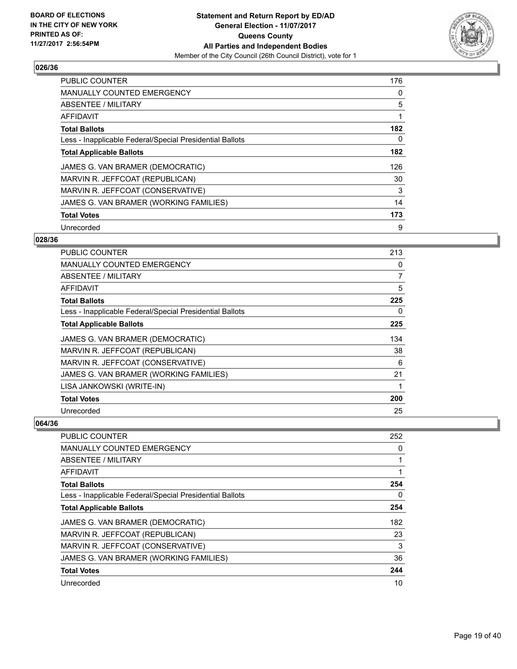

| <b>PUBLIC COUNTER</b>                                    | 176 |
|----------------------------------------------------------|-----|
| <b>MANUALLY COUNTED EMERGENCY</b>                        | 0   |
| ABSENTEE / MILITARY                                      | 5   |
| <b>AFFIDAVIT</b>                                         |     |
| <b>Total Ballots</b>                                     | 182 |
| Less - Inapplicable Federal/Special Presidential Ballots | 0   |
| <b>Total Applicable Ballots</b>                          | 182 |
| JAMES G. VAN BRAMER (DEMOCRATIC)                         | 126 |
| MARVIN R. JEFFCOAT (REPUBLICAN)                          | 30  |
| MARVIN R. JEFFCOAT (CONSERVATIVE)                        | 3   |
| JAMES G. VAN BRAMER (WORKING FAMILIES)                   | 14  |
| <b>Total Votes</b>                                       | 173 |
| Unrecorded                                               | 9   |

#### **028/36**

| PUBLIC COUNTER                                           | 213 |
|----------------------------------------------------------|-----|
| <b>MANUALLY COUNTED EMERGENCY</b>                        | 0   |
| ABSENTEE / MILITARY                                      | 7   |
| AFFIDAVIT                                                | 5   |
| <b>Total Ballots</b>                                     | 225 |
| Less - Inapplicable Federal/Special Presidential Ballots | 0   |
| <b>Total Applicable Ballots</b>                          | 225 |
| JAMES G. VAN BRAMER (DEMOCRATIC)                         | 134 |
| MARVIN R. JEFFCOAT (REPUBLICAN)                          | 38  |
| MARVIN R. JEFFCOAT (CONSERVATIVE)                        | 6   |
| JAMES G. VAN BRAMER (WORKING FAMILIES)                   | 21  |
| LISA JANKOWSKI (WRITE-IN)                                | 1   |
| <b>Total Votes</b>                                       | 200 |
| Unrecorded                                               | 25  |

| PUBLIC COUNTER                                           | 252 |
|----------------------------------------------------------|-----|
| <b>MANUALLY COUNTED EMERGENCY</b>                        | 0   |
| ABSENTEE / MILITARY                                      |     |
| AFFIDAVIT                                                |     |
| <b>Total Ballots</b>                                     | 254 |
| Less - Inapplicable Federal/Special Presidential Ballots | 0   |
| <b>Total Applicable Ballots</b>                          | 254 |
| JAMES G. VAN BRAMER (DEMOCRATIC)                         | 182 |
| MARVIN R. JEFFCOAT (REPUBLICAN)                          | 23  |
| MARVIN R. JEFFCOAT (CONSERVATIVE)                        | 3   |
| JAMES G. VAN BRAMER (WORKING FAMILIES)                   | 36  |
| <b>Total Votes</b>                                       | 244 |
| Unrecorded                                               | 10  |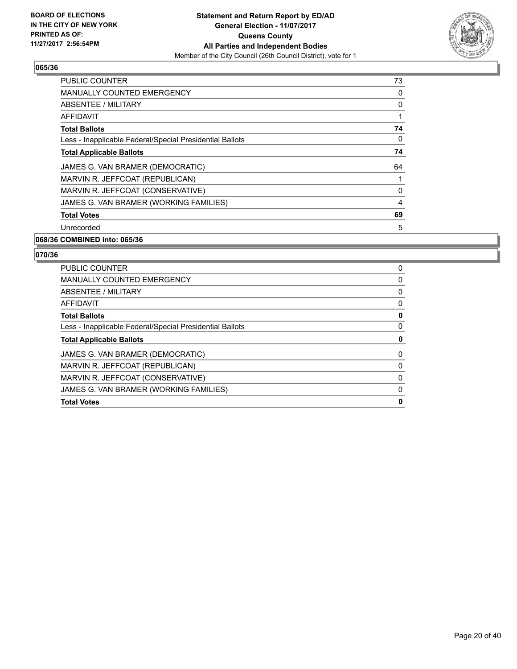

| <b>PUBLIC COUNTER</b>                                    | 73             |
|----------------------------------------------------------|----------------|
| <b>MANUALLY COUNTED EMERGENCY</b>                        | 0              |
| <b>ABSENTEE / MILITARY</b>                               | 0              |
| AFFIDAVIT                                                |                |
| <b>Total Ballots</b>                                     | 74             |
| Less - Inapplicable Federal/Special Presidential Ballots | 0              |
| <b>Total Applicable Ballots</b>                          | 74             |
| JAMES G. VAN BRAMER (DEMOCRATIC)                         | 64             |
| MARVIN R. JEFFCOAT (REPUBLICAN)                          |                |
| MARVIN R. JEFFCOAT (CONSERVATIVE)                        | 0              |
| JAMES G. VAN BRAMER (WORKING FAMILIES)                   | $\overline{4}$ |
| <b>Total Votes</b>                                       | 69             |
| Unrecorded                                               | 5              |

#### **068/36 COMBINED into: 065/36**

| <b>PUBLIC COUNTER</b>                                    | 0 |
|----------------------------------------------------------|---|
| <b>MANUALLY COUNTED EMERGENCY</b>                        | 0 |
| ABSENTEE / MILITARY                                      | 0 |
| AFFIDAVIT                                                | 0 |
| <b>Total Ballots</b>                                     | 0 |
| Less - Inapplicable Federal/Special Presidential Ballots | 0 |
| <b>Total Applicable Ballots</b>                          | 0 |
| JAMES G. VAN BRAMER (DEMOCRATIC)                         | 0 |
| MARVIN R. JEFFCOAT (REPUBLICAN)                          | 0 |
| MARVIN R. JEFFCOAT (CONSERVATIVE)                        | 0 |
| JAMES G. VAN BRAMER (WORKING FAMILIES)                   | 0 |
| <b>Total Votes</b>                                       | 0 |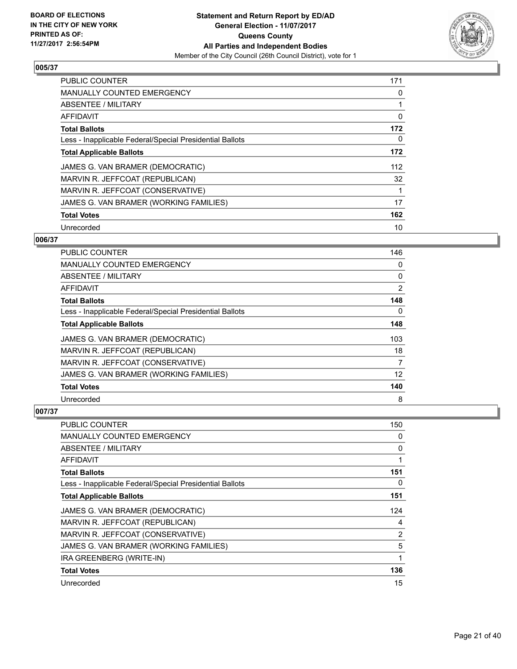

| <b>PUBLIC COUNTER</b>                                    | 171 |
|----------------------------------------------------------|-----|
| <b>MANUALLY COUNTED EMERGENCY</b>                        | 0   |
| ABSENTEE / MILITARY                                      | 1   |
| <b>AFFIDAVIT</b>                                         | 0   |
| <b>Total Ballots</b>                                     | 172 |
| Less - Inapplicable Federal/Special Presidential Ballots | 0   |
| <b>Total Applicable Ballots</b>                          | 172 |
| JAMES G. VAN BRAMER (DEMOCRATIC)                         | 112 |
| MARVIN R. JEFFCOAT (REPUBLICAN)                          | 32  |
| MARVIN R. JEFFCOAT (CONSERVATIVE)                        |     |
| JAMES G. VAN BRAMER (WORKING FAMILIES)                   | 17  |
| <b>Total Votes</b>                                       | 162 |
| Unrecorded                                               | 10  |

## **006/37**

| PUBLIC COUNTER                                           | 146 |
|----------------------------------------------------------|-----|
| MANUALLY COUNTED EMERGENCY                               | 0   |
| ABSENTEE / MILITARY                                      | 0   |
| AFFIDAVIT                                                | 2   |
| <b>Total Ballots</b>                                     | 148 |
| Less - Inapplicable Federal/Special Presidential Ballots | 0   |
| <b>Total Applicable Ballots</b>                          | 148 |
| JAMES G. VAN BRAMER (DEMOCRATIC)                         | 103 |
| MARVIN R. JEFFCOAT (REPUBLICAN)                          | 18  |
| MARVIN R. JEFFCOAT (CONSERVATIVE)                        | 7   |
| JAMES G. VAN BRAMER (WORKING FAMILIES)                   | 12  |
| <b>Total Votes</b>                                       | 140 |
| Unrecorded                                               | 8   |

| PUBLIC COUNTER                                           | 150 |
|----------------------------------------------------------|-----|
| MANUALLY COUNTED EMERGENCY                               | 0   |
| ABSENTEE / MILITARY                                      | 0   |
| AFFIDAVIT                                                |     |
| <b>Total Ballots</b>                                     | 151 |
| Less - Inapplicable Federal/Special Presidential Ballots | 0   |
| <b>Total Applicable Ballots</b>                          | 151 |
| JAMES G. VAN BRAMER (DEMOCRATIC)                         | 124 |
| MARVIN R. JEFFCOAT (REPUBLICAN)                          | 4   |
| MARVIN R. JEFFCOAT (CONSERVATIVE)                        | 2   |
| JAMES G. VAN BRAMER (WORKING FAMILIES)                   | 5   |
| IRA GREENBERG (WRITE-IN)                                 | 1   |
| <b>Total Votes</b>                                       | 136 |
| Unrecorded                                               | 15  |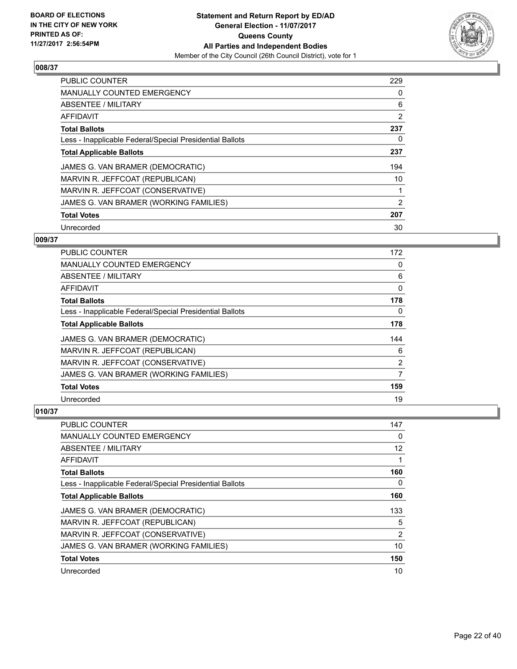

| PUBLIC COUNTER                                           | 229 |
|----------------------------------------------------------|-----|
| <b>MANUALLY COUNTED EMERGENCY</b>                        | 0   |
| ABSENTEE / MILITARY                                      | 6   |
| <b>AFFIDAVIT</b>                                         | 2   |
| <b>Total Ballots</b>                                     | 237 |
| Less - Inapplicable Federal/Special Presidential Ballots | 0   |
| <b>Total Applicable Ballots</b>                          | 237 |
| JAMES G. VAN BRAMER (DEMOCRATIC)                         | 194 |
| MARVIN R. JEFFCOAT (REPUBLICAN)                          | 10  |
| MARVIN R. JEFFCOAT (CONSERVATIVE)                        |     |
| JAMES G. VAN BRAMER (WORKING FAMILIES)                   | 2   |
| <b>Total Votes</b>                                       | 207 |
| Unrecorded                                               | 30  |

## **009/37**

| PUBLIC COUNTER                                           | 172            |
|----------------------------------------------------------|----------------|
| <b>MANUALLY COUNTED EMERGENCY</b>                        | 0              |
| ABSENTEE / MILITARY                                      | 6              |
| AFFIDAVIT                                                | 0              |
| <b>Total Ballots</b>                                     | 178            |
| Less - Inapplicable Federal/Special Presidential Ballots | 0              |
| <b>Total Applicable Ballots</b>                          | 178            |
| JAMES G. VAN BRAMER (DEMOCRATIC)                         | 144            |
| MARVIN R. JEFFCOAT (REPUBLICAN)                          | 6              |
| MARVIN R. JEFFCOAT (CONSERVATIVE)                        | $\overline{2}$ |
| JAMES G. VAN BRAMER (WORKING FAMILIES)                   | 7              |
| <b>Total Votes</b>                                       | 159            |
| Unrecorded                                               | 19             |

| PUBLIC COUNTER                                           | 147            |
|----------------------------------------------------------|----------------|
| <b>MANUALLY COUNTED EMERGENCY</b>                        | 0              |
| ABSENTEE / MILITARY                                      | 12             |
| AFFIDAVIT                                                |                |
| <b>Total Ballots</b>                                     | 160            |
| Less - Inapplicable Federal/Special Presidential Ballots | 0              |
| <b>Total Applicable Ballots</b>                          | 160            |
| JAMES G. VAN BRAMER (DEMOCRATIC)                         | 133            |
| MARVIN R. JEFFCOAT (REPUBLICAN)                          | 5              |
| MARVIN R. JEFFCOAT (CONSERVATIVE)                        | $\overline{2}$ |
| JAMES G. VAN BRAMER (WORKING FAMILIES)                   | 10             |
| <b>Total Votes</b>                                       | 150            |
| Unrecorded                                               | 10             |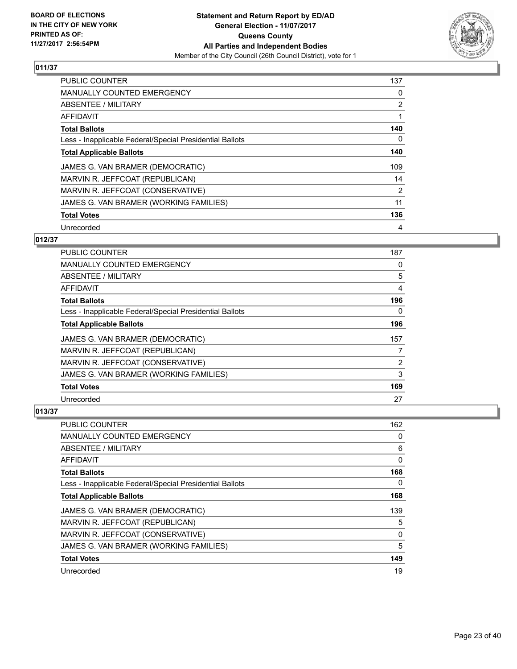

| <b>PUBLIC COUNTER</b>                                    | 137            |
|----------------------------------------------------------|----------------|
| <b>MANUALLY COUNTED EMERGENCY</b>                        | 0              |
| ABSENTEE / MILITARY                                      | $\overline{2}$ |
| AFFIDAVIT                                                |                |
| <b>Total Ballots</b>                                     | 140            |
| Less - Inapplicable Federal/Special Presidential Ballots | 0              |
| <b>Total Applicable Ballots</b>                          | 140            |
| JAMES G. VAN BRAMER (DEMOCRATIC)                         | 109            |
| MARVIN R. JEFFCOAT (REPUBLICAN)                          | 14             |
| MARVIN R. JEFFCOAT (CONSERVATIVE)                        | 2              |
| JAMES G. VAN BRAMER (WORKING FAMILIES)                   | 11             |
| <b>Total Votes</b>                                       | 136            |
| Unrecorded                                               | 4              |

## **012/37**

| <b>PUBLIC COUNTER</b>                                    | 187 |
|----------------------------------------------------------|-----|
| <b>MANUALLY COUNTED EMERGENCY</b>                        | 0   |
| ABSENTEE / MILITARY                                      | 5   |
| AFFIDAVIT                                                | 4   |
| <b>Total Ballots</b>                                     | 196 |
| Less - Inapplicable Federal/Special Presidential Ballots | 0   |
| <b>Total Applicable Ballots</b>                          | 196 |
| JAMES G. VAN BRAMER (DEMOCRATIC)                         | 157 |
| MARVIN R. JEFFCOAT (REPUBLICAN)                          | 7   |
| MARVIN R. JEFFCOAT (CONSERVATIVE)                        | 2   |
| JAMES G. VAN BRAMER (WORKING FAMILIES)                   | 3   |
| <b>Total Votes</b>                                       | 169 |
| Unrecorded                                               | 27  |

| PUBLIC COUNTER                                           | 162 |
|----------------------------------------------------------|-----|
| <b>MANUALLY COUNTED EMERGENCY</b>                        | 0   |
| ABSENTEE / MILITARY                                      | 6   |
| AFFIDAVIT                                                | 0   |
| <b>Total Ballots</b>                                     | 168 |
| Less - Inapplicable Federal/Special Presidential Ballots | 0   |
| <b>Total Applicable Ballots</b>                          | 168 |
| JAMES G. VAN BRAMER (DEMOCRATIC)                         | 139 |
| MARVIN R. JEFFCOAT (REPUBLICAN)                          | 5   |
| MARVIN R. JEFFCOAT (CONSERVATIVE)                        | 0   |
| JAMES G. VAN BRAMER (WORKING FAMILIES)                   | 5   |
| <b>Total Votes</b>                                       | 149 |
| Unrecorded                                               | 19  |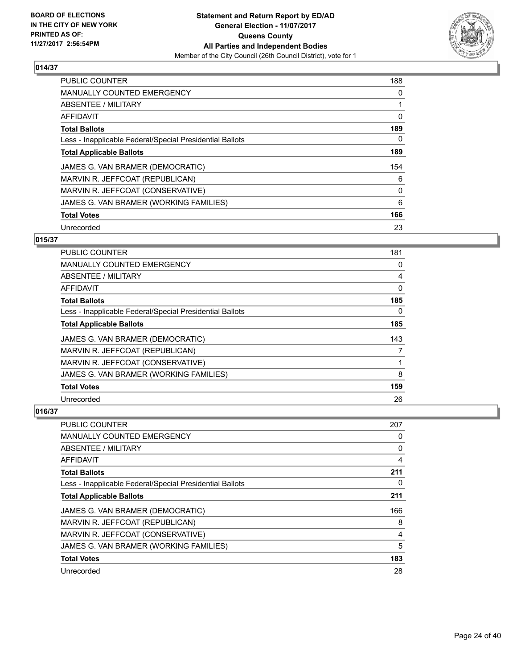

| <b>PUBLIC COUNTER</b>                                    | 188 |
|----------------------------------------------------------|-----|
| <b>MANUALLY COUNTED EMERGENCY</b>                        | 0   |
| ABSENTEE / MILITARY                                      |     |
| <b>AFFIDAVIT</b>                                         | 0   |
| <b>Total Ballots</b>                                     | 189 |
| Less - Inapplicable Federal/Special Presidential Ballots | 0   |
| <b>Total Applicable Ballots</b>                          | 189 |
| JAMES G. VAN BRAMER (DEMOCRATIC)                         | 154 |
| MARVIN R. JEFFCOAT (REPUBLICAN)                          | 6   |
| MARVIN R. JEFFCOAT (CONSERVATIVE)                        | 0   |
| JAMES G. VAN BRAMER (WORKING FAMILIES)                   | 6   |
| <b>Total Votes</b>                                       | 166 |
| Unrecorded                                               | 23  |

## **015/37**

| <b>PUBLIC COUNTER</b>                                    | 181 |
|----------------------------------------------------------|-----|
| <b>MANUALLY COUNTED EMERGENCY</b>                        | 0   |
| ABSENTEE / MILITARY                                      | 4   |
| AFFIDAVIT                                                | 0   |
| <b>Total Ballots</b>                                     | 185 |
| Less - Inapplicable Federal/Special Presidential Ballots | 0   |
| <b>Total Applicable Ballots</b>                          | 185 |
| JAMES G. VAN BRAMER (DEMOCRATIC)                         | 143 |
| MARVIN R. JEFFCOAT (REPUBLICAN)                          | 7   |
| MARVIN R. JEFFCOAT (CONSERVATIVE)                        |     |
| JAMES G. VAN BRAMER (WORKING FAMILIES)                   | 8   |
| <b>Total Votes</b>                                       | 159 |
| Unrecorded                                               | 26  |

| <b>PUBLIC COUNTER</b>                                    | 207 |
|----------------------------------------------------------|-----|
| <b>MANUALLY COUNTED EMERGENCY</b>                        | 0   |
| ABSENTEE / MILITARY                                      | 0   |
| AFFIDAVIT                                                | 4   |
| <b>Total Ballots</b>                                     | 211 |
| Less - Inapplicable Federal/Special Presidential Ballots | 0   |
| <b>Total Applicable Ballots</b>                          | 211 |
| JAMES G. VAN BRAMER (DEMOCRATIC)                         | 166 |
| MARVIN R. JEFFCOAT (REPUBLICAN)                          | 8   |
| MARVIN R. JEFFCOAT (CONSERVATIVE)                        | 4   |
| JAMES G. VAN BRAMER (WORKING FAMILIES)                   | 5   |
| <b>Total Votes</b>                                       | 183 |
| Unrecorded                                               | 28  |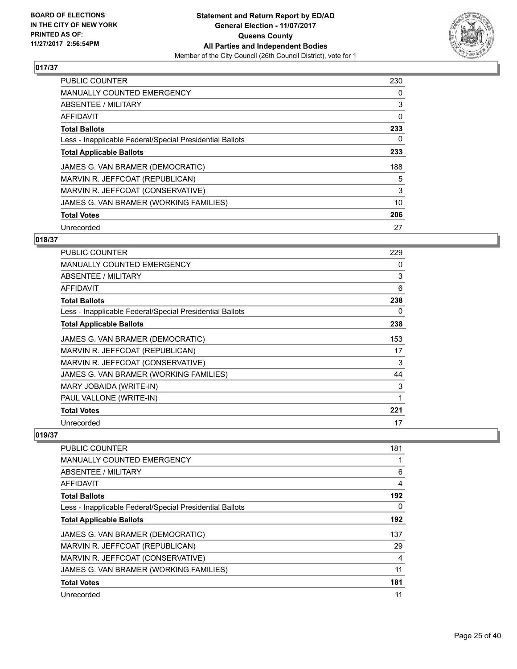

| <b>PUBLIC COUNTER</b>                                    | 230 |
|----------------------------------------------------------|-----|
| <b>MANUALLY COUNTED EMERGENCY</b>                        | 0   |
| ABSENTEE / MILITARY                                      | 3   |
| <b>AFFIDAVIT</b>                                         | 0   |
| <b>Total Ballots</b>                                     | 233 |
| Less - Inapplicable Federal/Special Presidential Ballots | 0   |
| <b>Total Applicable Ballots</b>                          | 233 |
| JAMES G. VAN BRAMER (DEMOCRATIC)                         | 188 |
| MARVIN R. JEFFCOAT (REPUBLICAN)                          | 5   |
| MARVIN R. JEFFCOAT (CONSERVATIVE)                        | 3   |
| JAMES G. VAN BRAMER (WORKING FAMILIES)                   | 10  |
| <b>Total Votes</b>                                       | 206 |
| Unrecorded                                               | 27  |

## **018/37**

| <b>PUBLIC COUNTER</b>                                    | 229 |
|----------------------------------------------------------|-----|
| <b>MANUALLY COUNTED EMERGENCY</b>                        | 0   |
| <b>ABSENTEE / MILITARY</b>                               | 3   |
| <b>AFFIDAVIT</b>                                         | 6   |
| <b>Total Ballots</b>                                     | 238 |
| Less - Inapplicable Federal/Special Presidential Ballots | 0   |
| <b>Total Applicable Ballots</b>                          | 238 |
| JAMES G. VAN BRAMER (DEMOCRATIC)                         | 153 |
| MARVIN R. JEFFCOAT (REPUBLICAN)                          | 17  |
| MARVIN R. JEFFCOAT (CONSERVATIVE)                        | 3   |
| JAMES G. VAN BRAMER (WORKING FAMILIES)                   | 44  |
| MARY JOBAIDA (WRITE-IN)                                  | 3   |
| PAUL VALLONE (WRITE-IN)                                  | 1   |
| <b>Total Votes</b>                                       | 221 |
| Unrecorded                                               | 17  |

| PUBLIC COUNTER                                           | 181 |
|----------------------------------------------------------|-----|
| <b>MANUALLY COUNTED EMERGENCY</b>                        |     |
| ABSENTEE / MILITARY                                      | 6   |
| AFFIDAVIT                                                | 4   |
| <b>Total Ballots</b>                                     | 192 |
| Less - Inapplicable Federal/Special Presidential Ballots | 0   |
| <b>Total Applicable Ballots</b>                          | 192 |
| JAMES G. VAN BRAMER (DEMOCRATIC)                         | 137 |
| MARVIN R. JEFFCOAT (REPUBLICAN)                          | 29  |
| MARVIN R. JEFFCOAT (CONSERVATIVE)                        | 4   |
| JAMES G. VAN BRAMER (WORKING FAMILIES)                   | 11  |
| <b>Total Votes</b>                                       | 181 |
| Unrecorded                                               | 11  |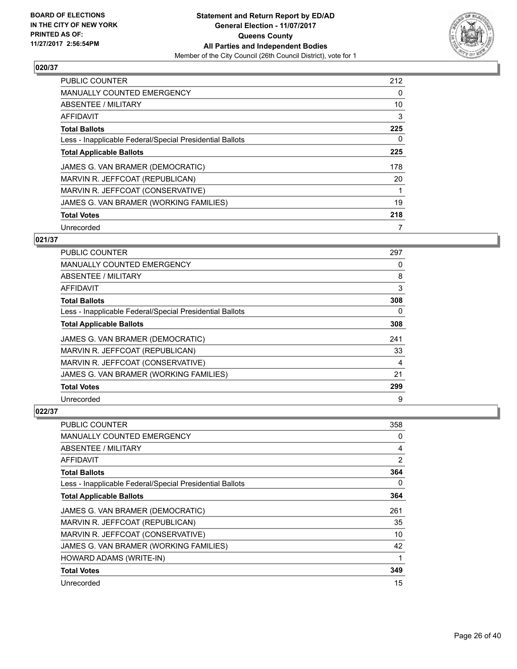

| <b>PUBLIC COUNTER</b>                                    | 212 |
|----------------------------------------------------------|-----|
| <b>MANUALLY COUNTED EMERGENCY</b>                        | 0   |
| ABSENTEE / MILITARY                                      | 10  |
| AFFIDAVIT                                                | 3   |
| <b>Total Ballots</b>                                     | 225 |
| Less - Inapplicable Federal/Special Presidential Ballots | 0   |
| <b>Total Applicable Ballots</b>                          | 225 |
| JAMES G. VAN BRAMER (DEMOCRATIC)                         | 178 |
| MARVIN R. JEFFCOAT (REPUBLICAN)                          | 20  |
| MARVIN R. JEFFCOAT (CONSERVATIVE)                        |     |
| JAMES G. VAN BRAMER (WORKING FAMILIES)                   | 19  |
| <b>Total Votes</b>                                       | 218 |
| Unrecorded                                               | 7   |

## **021/37**

| PUBLIC COUNTER                                           | 297 |
|----------------------------------------------------------|-----|
| <b>MANUALLY COUNTED EMERGENCY</b>                        | 0   |
| ABSENTEE / MILITARY                                      | 8   |
| AFFIDAVIT                                                | 3   |
| <b>Total Ballots</b>                                     | 308 |
| Less - Inapplicable Federal/Special Presidential Ballots | 0   |
| <b>Total Applicable Ballots</b>                          | 308 |
| JAMES G. VAN BRAMER (DEMOCRATIC)                         | 241 |
| MARVIN R. JEFFCOAT (REPUBLICAN)                          | 33  |
| MARVIN R. JEFFCOAT (CONSERVATIVE)                        | 4   |
| JAMES G. VAN BRAMER (WORKING FAMILIES)                   | 21  |
| <b>Total Votes</b>                                       | 299 |
| Unrecorded                                               | 9   |

| PUBLIC COUNTER                                           | 358            |
|----------------------------------------------------------|----------------|
| MANUALLY COUNTED EMERGENCY                               | 0              |
| ABSENTEE / MILITARY                                      | 4              |
| AFFIDAVIT                                                | $\overline{2}$ |
| <b>Total Ballots</b>                                     | 364            |
| Less - Inapplicable Federal/Special Presidential Ballots | 0              |
| <b>Total Applicable Ballots</b>                          | 364            |
| JAMES G. VAN BRAMER (DEMOCRATIC)                         | 261            |
| MARVIN R. JEFFCOAT (REPUBLICAN)                          | 35             |
| MARVIN R. JEFFCOAT (CONSERVATIVE)                        | 10             |
| JAMES G. VAN BRAMER (WORKING FAMILIES)                   | 42             |
| HOWARD ADAMS (WRITE-IN)                                  | 1              |
| <b>Total Votes</b>                                       | 349            |
| Unrecorded                                               | 15             |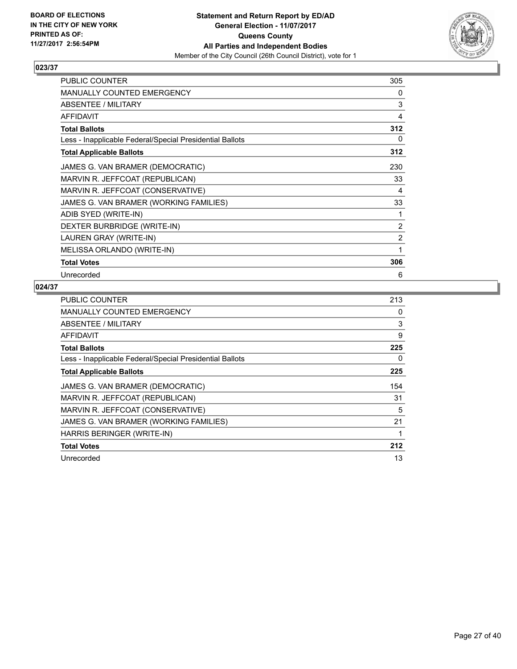

| <b>PUBLIC COUNTER</b>                                    | 305            |
|----------------------------------------------------------|----------------|
| <b>MANUALLY COUNTED EMERGENCY</b>                        | 0              |
| <b>ABSENTEE / MILITARY</b>                               | 3              |
| <b>AFFIDAVIT</b>                                         | 4              |
| <b>Total Ballots</b>                                     | 312            |
| Less - Inapplicable Federal/Special Presidential Ballots | 0              |
| <b>Total Applicable Ballots</b>                          | 312            |
| JAMES G. VAN BRAMER (DEMOCRATIC)                         | 230            |
| MARVIN R. JEFFCOAT (REPUBLICAN)                          | 33             |
| MARVIN R. JEFFCOAT (CONSERVATIVE)                        | 4              |
| JAMES G. VAN BRAMER (WORKING FAMILIES)                   | 33             |
| ADIB SYED (WRITE-IN)                                     | 1              |
| DEXTER BURBRIDGE (WRITE-IN)                              | $\overline{2}$ |
| LAUREN GRAY (WRITE-IN)                                   | $\overline{2}$ |
| MELISSA ORLANDO (WRITE-IN)                               | 1              |
| <b>Total Votes</b>                                       | 306            |
| Unrecorded                                               | 6              |

| <b>PUBLIC COUNTER</b>                                    | 213 |
|----------------------------------------------------------|-----|
| <b>MANUALLY COUNTED EMERGENCY</b>                        | 0   |
| ABSENTEE / MILITARY                                      | 3   |
| AFFIDAVIT                                                | 9   |
| <b>Total Ballots</b>                                     | 225 |
| Less - Inapplicable Federal/Special Presidential Ballots | 0   |
| <b>Total Applicable Ballots</b>                          | 225 |
| JAMES G. VAN BRAMER (DEMOCRATIC)                         | 154 |
| MARVIN R. JEFFCOAT (REPUBLICAN)                          | 31  |
| MARVIN R. JEFFCOAT (CONSERVATIVE)                        | 5   |
| JAMES G. VAN BRAMER (WORKING FAMILIES)                   | 21  |
| HARRIS BERINGER (WRITE-IN)                               | 1   |
| <b>Total Votes</b>                                       | 212 |
| Unrecorded                                               | 13  |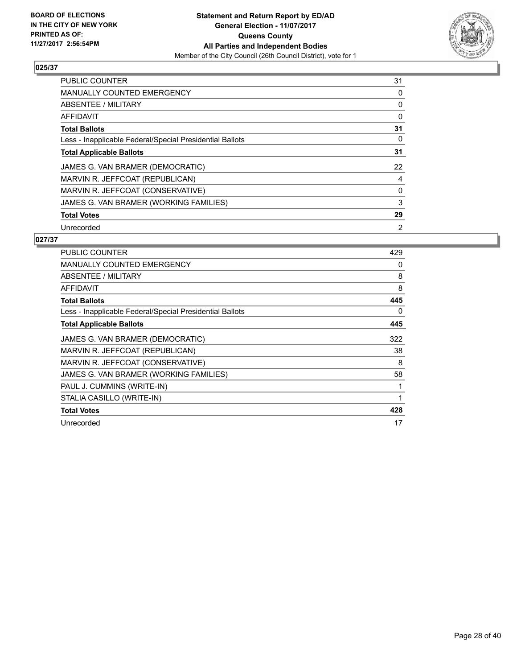

| <b>PUBLIC COUNTER</b>                                    | 31 |
|----------------------------------------------------------|----|
| MANUALLY COUNTED EMERGENCY                               | 0  |
| ABSENTEE / MILITARY                                      | 0  |
| <b>AFFIDAVIT</b>                                         | 0  |
| <b>Total Ballots</b>                                     | 31 |
| Less - Inapplicable Federal/Special Presidential Ballots | 0  |
| <b>Total Applicable Ballots</b>                          | 31 |
| JAMES G. VAN BRAMER (DEMOCRATIC)                         | 22 |
| MARVIN R. JEFFCOAT (REPUBLICAN)                          | 4  |
| MARVIN R. JEFFCOAT (CONSERVATIVE)                        | 0  |
| JAMES G. VAN BRAMER (WORKING FAMILIES)                   | 3  |
| <b>Total Votes</b>                                       | 29 |
| Unrecorded                                               | 2  |

| <b>PUBLIC COUNTER</b>                                    | 429 |
|----------------------------------------------------------|-----|
| <b>MANUALLY COUNTED EMERGENCY</b>                        | 0   |
| <b>ABSENTEE / MILITARY</b>                               | 8   |
| AFFIDAVIT                                                | 8   |
| <b>Total Ballots</b>                                     | 445 |
| Less - Inapplicable Federal/Special Presidential Ballots | 0   |
| <b>Total Applicable Ballots</b>                          | 445 |
| JAMES G. VAN BRAMER (DEMOCRATIC)                         | 322 |
| MARVIN R. JEFFCOAT (REPUBLICAN)                          | 38  |
| MARVIN R. JEFFCOAT (CONSERVATIVE)                        | 8   |
| JAMES G. VAN BRAMER (WORKING FAMILIES)                   | 58  |
| PAUL J. CUMMINS (WRITE-IN)                               | 1   |
| STALIA CASILLO (WRITE-IN)                                | 1   |
| <b>Total Votes</b>                                       | 428 |
| Unrecorded                                               | 17  |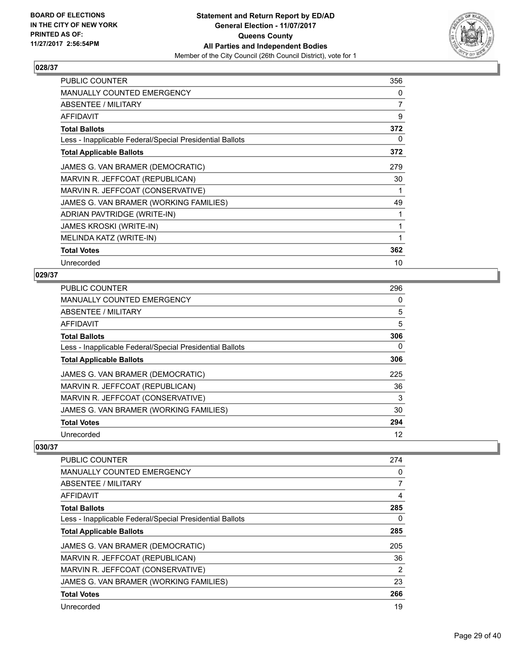

| <b>PUBLIC COUNTER</b>                                    | 356 |
|----------------------------------------------------------|-----|
| <b>MANUALLY COUNTED EMERGENCY</b>                        | 0   |
| ABSENTEE / MILITARY                                      | 7   |
| <b>AFFIDAVIT</b>                                         | 9   |
| <b>Total Ballots</b>                                     | 372 |
| Less - Inapplicable Federal/Special Presidential Ballots | 0   |
| <b>Total Applicable Ballots</b>                          | 372 |
| JAMES G. VAN BRAMER (DEMOCRATIC)                         | 279 |
| MARVIN R. JEFFCOAT (REPUBLICAN)                          | 30  |
| MARVIN R. JEFFCOAT (CONSERVATIVE)                        | 1   |
| JAMES G. VAN BRAMER (WORKING FAMILIES)                   | 49  |
| ADRIAN PAVTRIDGE (WRITE-IN)                              | 1   |
| <b>JAMES KROSKI (WRITE-IN)</b>                           | 1   |
| MELINDA KATZ (WRITE-IN)                                  | 1   |
| <b>Total Votes</b>                                       | 362 |
| Unrecorded                                               | 10  |

## **029/37**

| PUBLIC COUNTER                                           | 296 |
|----------------------------------------------------------|-----|
| MANUALLY COUNTED EMERGENCY                               | 0   |
| ABSENTEE / MILITARY                                      | 5   |
| AFFIDAVIT                                                | 5   |
| <b>Total Ballots</b>                                     | 306 |
| Less - Inapplicable Federal/Special Presidential Ballots | 0   |
| <b>Total Applicable Ballots</b>                          | 306 |
| JAMES G. VAN BRAMER (DEMOCRATIC)                         | 225 |
| MARVIN R. JEFFCOAT (REPUBLICAN)                          | 36  |
| MARVIN R. JEFFCOAT (CONSERVATIVE)                        | 3   |
| JAMES G. VAN BRAMER (WORKING FAMILIES)                   | 30  |
| <b>Total Votes</b>                                       | 294 |
| Unrecorded                                               | 12  |

| <b>PUBLIC COUNTER</b>                                    | 274 |
|----------------------------------------------------------|-----|
| <b>MANUALLY COUNTED EMERGENCY</b>                        | 0   |
| ABSENTEE / MILITARY                                      | 7   |
| AFFIDAVIT                                                | 4   |
| <b>Total Ballots</b>                                     | 285 |
| Less - Inapplicable Federal/Special Presidential Ballots | 0   |
| <b>Total Applicable Ballots</b>                          | 285 |
| JAMES G. VAN BRAMER (DEMOCRATIC)                         | 205 |
| MARVIN R. JEFFCOAT (REPUBLICAN)                          | 36  |
| MARVIN R. JEFFCOAT (CONSERVATIVE)                        | 2   |
| JAMES G. VAN BRAMER (WORKING FAMILIES)                   | 23  |
| <b>Total Votes</b>                                       | 266 |
| Unrecorded                                               | 19  |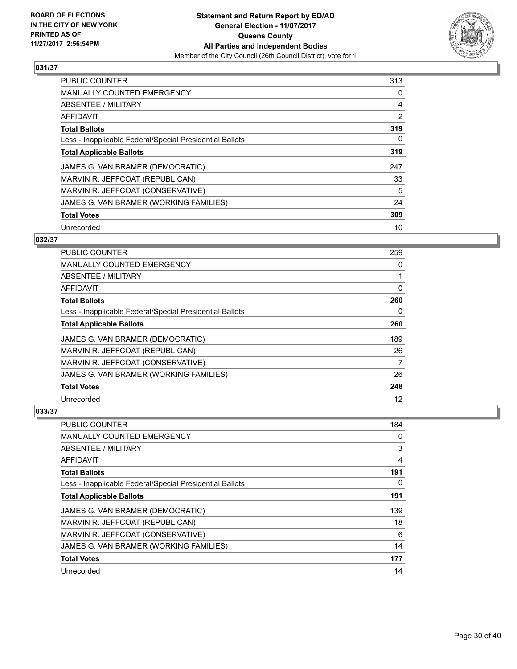

| <b>PUBLIC COUNTER</b>                                    | 313            |
|----------------------------------------------------------|----------------|
| <b>MANUALLY COUNTED EMERGENCY</b>                        | 0              |
| ABSENTEE / MILITARY                                      | 4              |
| <b>AFFIDAVIT</b>                                         | $\overline{2}$ |
| <b>Total Ballots</b>                                     | 319            |
| Less - Inapplicable Federal/Special Presidential Ballots | 0              |
| <b>Total Applicable Ballots</b>                          | 319            |
| JAMES G. VAN BRAMER (DEMOCRATIC)                         | 247            |
| MARVIN R. JEFFCOAT (REPUBLICAN)                          | 33             |
| MARVIN R. JEFFCOAT (CONSERVATIVE)                        | 5              |
| JAMES G. VAN BRAMER (WORKING FAMILIES)                   | 24             |
| <b>Total Votes</b>                                       | 309            |
| Unrecorded                                               | 10             |

## **032/37**

| <b>PUBLIC COUNTER</b>                                    | 259 |
|----------------------------------------------------------|-----|
| MANUALLY COUNTED EMERGENCY                               | 0   |
| ABSENTEE / MILITARY                                      |     |
| AFFIDAVIT                                                | 0   |
| <b>Total Ballots</b>                                     | 260 |
| Less - Inapplicable Federal/Special Presidential Ballots | 0   |
| <b>Total Applicable Ballots</b>                          | 260 |
| JAMES G. VAN BRAMER (DEMOCRATIC)                         | 189 |
| MARVIN R. JEFFCOAT (REPUBLICAN)                          | 26  |
| MARVIN R. JEFFCOAT (CONSERVATIVE)                        | 7   |
| JAMES G. VAN BRAMER (WORKING FAMILIES)                   | 26  |
| <b>Total Votes</b>                                       | 248 |
| Unrecorded                                               | 12  |

| PUBLIC COUNTER                                           | 184 |
|----------------------------------------------------------|-----|
| <b>MANUALLY COUNTED EMERGENCY</b>                        | 0   |
| ABSENTEE / MILITARY                                      | 3   |
| AFFIDAVIT                                                | 4   |
| <b>Total Ballots</b>                                     | 191 |
| Less - Inapplicable Federal/Special Presidential Ballots | 0   |
| <b>Total Applicable Ballots</b>                          | 191 |
| JAMES G. VAN BRAMER (DEMOCRATIC)                         | 139 |
| MARVIN R. JEFFCOAT (REPUBLICAN)                          | 18  |
| MARVIN R. JEFFCOAT (CONSERVATIVE)                        | 6   |
| JAMES G. VAN BRAMER (WORKING FAMILIES)                   | 14  |
| <b>Total Votes</b>                                       | 177 |
| Unrecorded                                               | 14  |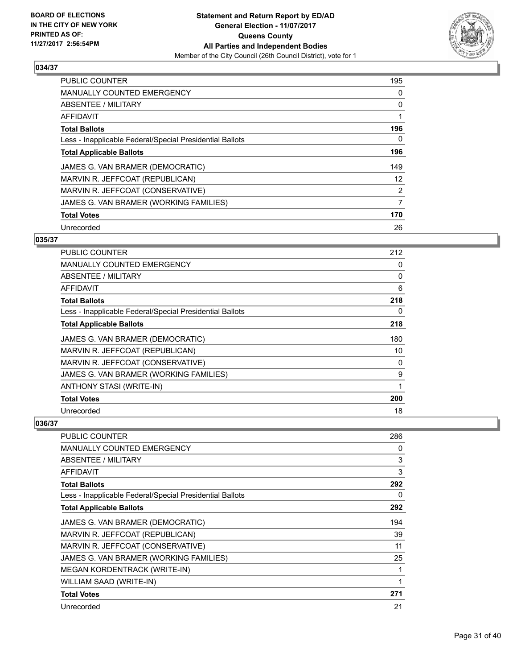

| <b>PUBLIC COUNTER</b>                                    | 195 |
|----------------------------------------------------------|-----|
| <b>MANUALLY COUNTED EMERGENCY</b>                        | 0   |
| ABSENTEE / MILITARY                                      | 0   |
| <b>AFFIDAVIT</b>                                         |     |
| <b>Total Ballots</b>                                     | 196 |
| Less - Inapplicable Federal/Special Presidential Ballots | 0   |
| <b>Total Applicable Ballots</b>                          | 196 |
| JAMES G. VAN BRAMER (DEMOCRATIC)                         | 149 |
| MARVIN R. JEFFCOAT (REPUBLICAN)                          | 12  |
| MARVIN R. JEFFCOAT (CONSERVATIVE)                        | 2   |
| JAMES G. VAN BRAMER (WORKING FAMILIES)                   | 7   |
| <b>Total Votes</b>                                       | 170 |
| Unrecorded                                               | 26  |

#### **035/37**

| PUBLIC COUNTER                                           | 212 |
|----------------------------------------------------------|-----|
| <b>MANUALLY COUNTED EMERGENCY</b>                        | 0   |
| ABSENTEE / MILITARY                                      | 0   |
| AFFIDAVIT                                                | 6   |
| <b>Total Ballots</b>                                     | 218 |
| Less - Inapplicable Federal/Special Presidential Ballots | 0   |
| <b>Total Applicable Ballots</b>                          | 218 |
| JAMES G. VAN BRAMER (DEMOCRATIC)                         | 180 |
| MARVIN R. JEFFCOAT (REPUBLICAN)                          | 10  |
| MARVIN R. JEFFCOAT (CONSERVATIVE)                        | 0   |
| JAMES G. VAN BRAMER (WORKING FAMILIES)                   | 9   |
| ANTHONY STASI (WRITE-IN)                                 | 1   |
| <b>Total Votes</b>                                       | 200 |
| Unrecorded                                               | 18  |

| PUBLIC COUNTER                                           | 286          |
|----------------------------------------------------------|--------------|
| <b>MANUALLY COUNTED EMERGENCY</b>                        | 0            |
| ABSENTEE / MILITARY                                      | 3            |
| AFFIDAVIT                                                | 3            |
| <b>Total Ballots</b>                                     | 292          |
| Less - Inapplicable Federal/Special Presidential Ballots | 0            |
| <b>Total Applicable Ballots</b>                          | 292          |
| JAMES G. VAN BRAMER (DEMOCRATIC)                         | 194          |
| MARVIN R. JEFFCOAT (REPUBLICAN)                          | 39           |
| MARVIN R. JEFFCOAT (CONSERVATIVE)                        | 11           |
| JAMES G. VAN BRAMER (WORKING FAMILIES)                   | 25           |
| <b>MEGAN KORDENTRACK (WRITE-IN)</b>                      | 1            |
| WILLIAM SAAD (WRITE-IN)                                  | $\mathbf{1}$ |
| <b>Total Votes</b>                                       | 271          |
| Unrecorded                                               | 21           |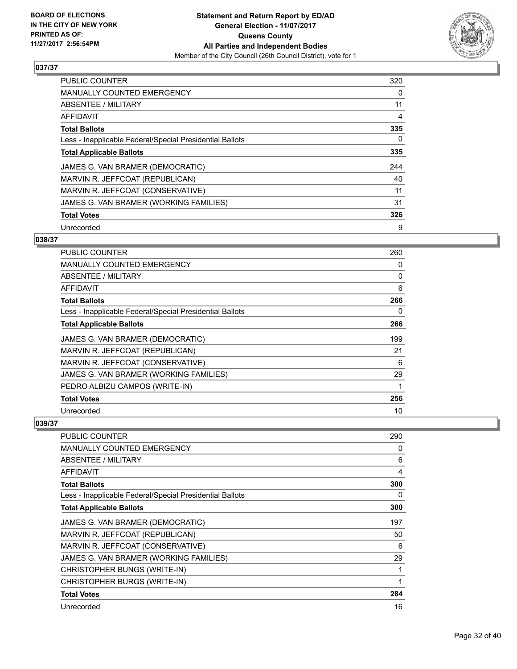

| <b>PUBLIC COUNTER</b>                                    | 320 |
|----------------------------------------------------------|-----|
| <b>MANUALLY COUNTED EMERGENCY</b>                        | 0   |
| ABSENTEE / MILITARY                                      | 11  |
| AFFIDAVIT                                                | 4   |
| <b>Total Ballots</b>                                     | 335 |
| Less - Inapplicable Federal/Special Presidential Ballots | 0   |
| <b>Total Applicable Ballots</b>                          | 335 |
| JAMES G. VAN BRAMER (DEMOCRATIC)                         | 244 |
| MARVIN R. JEFFCOAT (REPUBLICAN)                          | 40  |
| MARVIN R. JEFFCOAT (CONSERVATIVE)                        | 11  |
| JAMES G. VAN BRAMER (WORKING FAMILIES)                   | 31  |
| <b>Total Votes</b>                                       | 326 |
| Unrecorded                                               | 9   |

## **038/37**

| PUBLIC COUNTER                                           | 260 |
|----------------------------------------------------------|-----|
| MANUALLY COUNTED EMERGENCY                               | 0   |
| ABSENTEE / MILITARY                                      | 0   |
| AFFIDAVIT                                                | 6   |
| <b>Total Ballots</b>                                     | 266 |
| Less - Inapplicable Federal/Special Presidential Ballots | 0   |
| <b>Total Applicable Ballots</b>                          | 266 |
| JAMES G. VAN BRAMER (DEMOCRATIC)                         | 199 |
| MARVIN R. JEFFCOAT (REPUBLICAN)                          | 21  |
| MARVIN R. JEFFCOAT (CONSERVATIVE)                        | 6   |
| JAMES G. VAN BRAMER (WORKING FAMILIES)                   | 29  |
| PEDRO ALBIZU CAMPOS (WRITE-IN)                           | 1   |
| <b>Total Votes</b>                                       | 256 |
| Unrecorded                                               | 10  |

| <b>PUBLIC COUNTER</b>                                    | 290 |
|----------------------------------------------------------|-----|
| <b>MANUALLY COUNTED EMERGENCY</b>                        | 0   |
| <b>ABSENTEE / MILITARY</b>                               | 6   |
| AFFIDAVIT                                                | 4   |
| <b>Total Ballots</b>                                     | 300 |
| Less - Inapplicable Federal/Special Presidential Ballots | 0   |
| <b>Total Applicable Ballots</b>                          | 300 |
| JAMES G. VAN BRAMER (DEMOCRATIC)                         | 197 |
| MARVIN R. JEFFCOAT (REPUBLICAN)                          | 50  |
| MARVIN R. JEFFCOAT (CONSERVATIVE)                        | 6   |
| JAMES G. VAN BRAMER (WORKING FAMILIES)                   | 29  |
| CHRISTOPHER BUNGS (WRITE-IN)                             |     |
| CHRISTOPHER BURGS (WRITE-IN)                             | 1   |
| <b>Total Votes</b>                                       | 284 |
| Unrecorded                                               | 16  |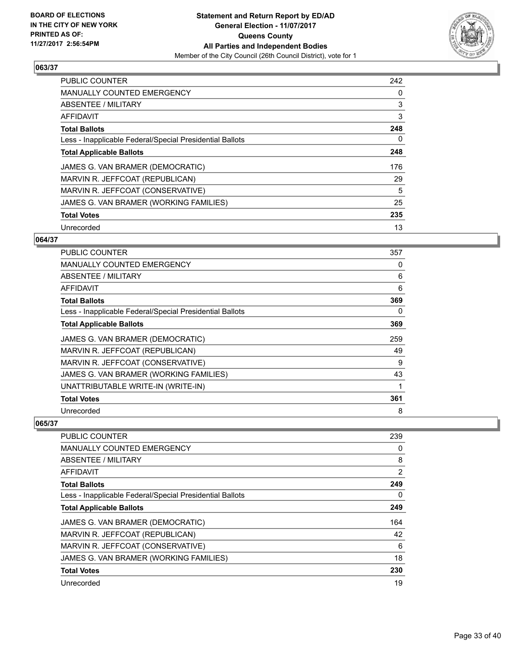

| <b>PUBLIC COUNTER</b>                                    | 242 |
|----------------------------------------------------------|-----|
| <b>MANUALLY COUNTED EMERGENCY</b>                        | 0   |
| ABSENTEE / MILITARY                                      | 3   |
| <b>AFFIDAVIT</b>                                         | 3   |
| <b>Total Ballots</b>                                     | 248 |
| Less - Inapplicable Federal/Special Presidential Ballots | 0   |
| <b>Total Applicable Ballots</b>                          | 248 |
| JAMES G. VAN BRAMER (DEMOCRATIC)                         | 176 |
| MARVIN R. JEFFCOAT (REPUBLICAN)                          | 29  |
| MARVIN R. JEFFCOAT (CONSERVATIVE)                        | 5   |
| JAMES G. VAN BRAMER (WORKING FAMILIES)                   | 25  |
| <b>Total Votes</b>                                       | 235 |
| Unrecorded                                               | 13  |

## **064/37**

| <b>PUBLIC COUNTER</b>                                    | 357 |
|----------------------------------------------------------|-----|
| <b>MANUALLY COUNTED EMERGENCY</b>                        | 0   |
| ABSENTEE / MILITARY                                      | 6   |
| AFFIDAVIT                                                | 6   |
| <b>Total Ballots</b>                                     | 369 |
| Less - Inapplicable Federal/Special Presidential Ballots | 0   |
| <b>Total Applicable Ballots</b>                          | 369 |
| JAMES G. VAN BRAMER (DEMOCRATIC)                         | 259 |
| MARVIN R. JEFFCOAT (REPUBLICAN)                          | 49  |
| MARVIN R. JEFFCOAT (CONSERVATIVE)                        | 9   |
| JAMES G. VAN BRAMER (WORKING FAMILIES)                   | 43  |
| UNATTRIBUTABLE WRITE-IN (WRITE-IN)                       | 1   |
| <b>Total Votes</b>                                       | 361 |
| Unrecorded                                               | 8   |

| PUBLIC COUNTER                                           | 239 |
|----------------------------------------------------------|-----|
| <b>MANUALLY COUNTED EMERGENCY</b>                        | 0   |
| ABSENTEE / MILITARY                                      | 8   |
| AFFIDAVIT                                                | 2   |
| <b>Total Ballots</b>                                     | 249 |
| Less - Inapplicable Federal/Special Presidential Ballots | 0   |
| <b>Total Applicable Ballots</b>                          | 249 |
| JAMES G. VAN BRAMER (DEMOCRATIC)                         | 164 |
| MARVIN R. JEFFCOAT (REPUBLICAN)                          | 42  |
| MARVIN R. JEFFCOAT (CONSERVATIVE)                        | 6   |
| JAMES G. VAN BRAMER (WORKING FAMILIES)                   | 18  |
| <b>Total Votes</b>                                       | 230 |
| Unrecorded                                               | 19  |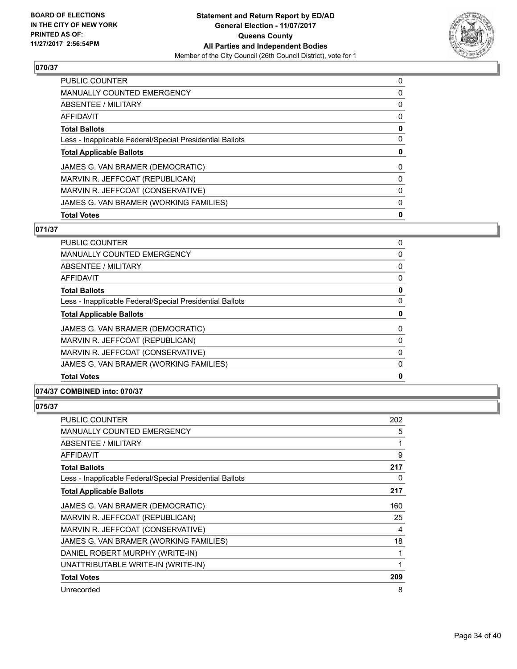

| <b>Total Votes</b>                                       | 0 |
|----------------------------------------------------------|---|
| JAMES G. VAN BRAMER (WORKING FAMILIES)                   | 0 |
| MARVIN R. JEFFCOAT (CONSERVATIVE)                        | 0 |
| MARVIN R. JEFFCOAT (REPUBLICAN)                          | 0 |
| JAMES G. VAN BRAMER (DEMOCRATIC)                         | 0 |
| <b>Total Applicable Ballots</b>                          | 0 |
| Less - Inapplicable Federal/Special Presidential Ballots | 0 |
| <b>Total Ballots</b>                                     | 0 |
| AFFIDAVIT                                                | 0 |
| ABSENTEE / MILITARY                                      | 0 |
| MANUALLY COUNTED EMERGENCY                               | 0 |
| <b>PUBLIC COUNTER</b>                                    | 0 |

## **071/37**

| PUBLIC COUNTER                                           | 0 |
|----------------------------------------------------------|---|
| <b>MANUALLY COUNTED EMERGENCY</b>                        | 0 |
| ABSENTEE / MILITARY                                      | 0 |
| AFFIDAVIT                                                | 0 |
| <b>Total Ballots</b>                                     | 0 |
| Less - Inapplicable Federal/Special Presidential Ballots | 0 |
| <b>Total Applicable Ballots</b>                          | 0 |
| JAMES G. VAN BRAMER (DEMOCRATIC)                         | 0 |
| MARVIN R. JEFFCOAT (REPUBLICAN)                          | 0 |
| MARVIN R. JEFFCOAT (CONSERVATIVE)                        | 0 |
| JAMES G. VAN BRAMER (WORKING FAMILIES)                   | 0 |
| <b>Total Votes</b>                                       | 0 |
|                                                          |   |

## **074/37 COMBINED into: 070/37**

| <b>PUBLIC COUNTER</b>                                    | 202 |
|----------------------------------------------------------|-----|
| <b>MANUALLY COUNTED EMERGENCY</b>                        | 5   |
| ABSENTEE / MILITARY                                      | 1   |
| AFFIDAVIT                                                | 9   |
| <b>Total Ballots</b>                                     | 217 |
| Less - Inapplicable Federal/Special Presidential Ballots | 0   |
| <b>Total Applicable Ballots</b>                          | 217 |
| JAMES G. VAN BRAMER (DEMOCRATIC)                         | 160 |
| MARVIN R. JEFFCOAT (REPUBLICAN)                          | 25  |
| MARVIN R. JEFFCOAT (CONSERVATIVE)                        | 4   |
| JAMES G. VAN BRAMER (WORKING FAMILIES)                   | 18  |
| DANIEL ROBERT MURPHY (WRITE-IN)                          | 1   |
| UNATTRIBUTABLE WRITE-IN (WRITE-IN)                       | 1   |
| <b>Total Votes</b>                                       | 209 |
| Unrecorded                                               | 8   |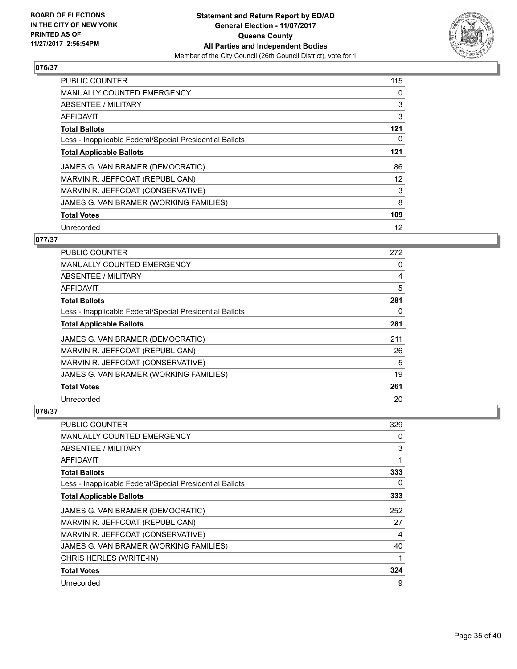

| PUBLIC COUNTER                                           | 115 |
|----------------------------------------------------------|-----|
| <b>MANUALLY COUNTED EMERGENCY</b>                        | 0   |
| ABSENTEE / MILITARY                                      | 3   |
| <b>AFFIDAVIT</b>                                         | 3   |
| <b>Total Ballots</b>                                     | 121 |
| Less - Inapplicable Federal/Special Presidential Ballots | 0   |
| <b>Total Applicable Ballots</b>                          | 121 |
| JAMES G. VAN BRAMER (DEMOCRATIC)                         | 86  |
| MARVIN R. JEFFCOAT (REPUBLICAN)                          | 12  |
| MARVIN R. JEFFCOAT (CONSERVATIVE)                        | 3   |
| JAMES G. VAN BRAMER (WORKING FAMILIES)                   | 8   |
| <b>Total Votes</b>                                       | 109 |
| Unrecorded                                               | 12  |

## **077/37**

| PUBLIC COUNTER                                           | 272 |
|----------------------------------------------------------|-----|
| <b>MANUALLY COUNTED EMERGENCY</b>                        | 0   |
| ABSENTEE / MILITARY                                      | 4   |
| AFFIDAVIT                                                | 5   |
| <b>Total Ballots</b>                                     | 281 |
| Less - Inapplicable Federal/Special Presidential Ballots | 0   |
| <b>Total Applicable Ballots</b>                          | 281 |
| JAMES G. VAN BRAMER (DEMOCRATIC)                         | 211 |
| MARVIN R. JEFFCOAT (REPUBLICAN)                          | 26  |
| MARVIN R. JEFFCOAT (CONSERVATIVE)                        | 5   |
| JAMES G. VAN BRAMER (WORKING FAMILIES)                   | 19  |
| <b>Total Votes</b>                                       | 261 |
| Unrecorded                                               | 20  |

| <b>PUBLIC COUNTER</b>                                    | 329 |
|----------------------------------------------------------|-----|
| MANUALLY COUNTED EMERGENCY                               | 0   |
| ABSENTEE / MILITARY                                      | 3   |
| AFFIDAVIT                                                | 1   |
| <b>Total Ballots</b>                                     | 333 |
| Less - Inapplicable Federal/Special Presidential Ballots | 0   |
| <b>Total Applicable Ballots</b>                          | 333 |
| JAMES G. VAN BRAMER (DEMOCRATIC)                         | 252 |
| MARVIN R. JEFFCOAT (REPUBLICAN)                          | 27  |
| MARVIN R. JEFFCOAT (CONSERVATIVE)                        | 4   |
| JAMES G. VAN BRAMER (WORKING FAMILIES)                   | 40  |
| CHRIS HERLES (WRITE-IN)                                  | 1   |
| <b>Total Votes</b>                                       | 324 |
| Unrecorded                                               | 9   |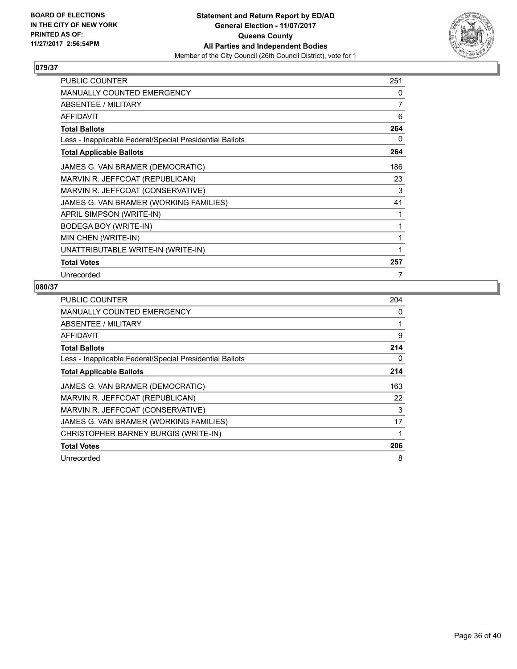

| <b>PUBLIC COUNTER</b>                                    | 251 |
|----------------------------------------------------------|-----|
| <b>MANUALLY COUNTED EMERGENCY</b>                        | 0   |
| <b>ABSENTEE / MILITARY</b>                               | 7   |
| <b>AFFIDAVIT</b>                                         | 6   |
| <b>Total Ballots</b>                                     | 264 |
| Less - Inapplicable Federal/Special Presidential Ballots | 0   |
| <b>Total Applicable Ballots</b>                          | 264 |
| JAMES G. VAN BRAMER (DEMOCRATIC)                         | 186 |
| MARVIN R. JEFFCOAT (REPUBLICAN)                          | 23  |
| MARVIN R. JEFFCOAT (CONSERVATIVE)                        | 3   |
| JAMES G. VAN BRAMER (WORKING FAMILIES)                   | 41  |
| APRIL SIMPSON (WRITE-IN)                                 | 1   |
| BODEGA BOY (WRITE-IN)                                    | 1   |
| MIN CHEN (WRITE-IN)                                      | 1   |
| UNATTRIBUTABLE WRITE-IN (WRITE-IN)                       |     |
| <b>Total Votes</b>                                       | 257 |
| Unrecorded                                               | 7   |

| <b>PUBLIC COUNTER</b>                                    | 204 |
|----------------------------------------------------------|-----|
| <b>MANUALLY COUNTED EMERGENCY</b>                        | 0   |
| ABSENTEE / MILITARY                                      | 1   |
| AFFIDAVIT                                                | 9   |
| <b>Total Ballots</b>                                     | 214 |
| Less - Inapplicable Federal/Special Presidential Ballots | 0   |
| <b>Total Applicable Ballots</b>                          | 214 |
| JAMES G. VAN BRAMER (DEMOCRATIC)                         | 163 |
| MARVIN R. JEFFCOAT (REPUBLICAN)                          | 22  |
| MARVIN R. JEFFCOAT (CONSERVATIVE)                        | 3   |
| JAMES G. VAN BRAMER (WORKING FAMILIES)                   | 17  |
| CHRISTOPHER BARNEY BURGIS (WRITE-IN)                     | 1   |
| <b>Total Votes</b>                                       | 206 |
| Unrecorded                                               | 8   |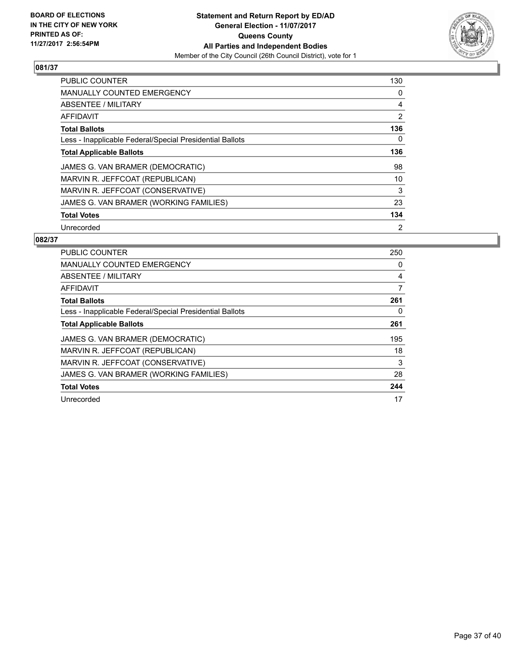

| <b>PUBLIC COUNTER</b>                                    | 130            |
|----------------------------------------------------------|----------------|
| <b>MANUALLY COUNTED EMERGENCY</b>                        | 0              |
| ABSENTEE / MILITARY                                      | 4              |
| AFFIDAVIT                                                | 2              |
| <b>Total Ballots</b>                                     | 136            |
| Less - Inapplicable Federal/Special Presidential Ballots | 0              |
| <b>Total Applicable Ballots</b>                          | 136            |
| JAMES G. VAN BRAMER (DEMOCRATIC)                         | 98             |
| MARVIN R. JEFFCOAT (REPUBLICAN)                          | 10             |
| MARVIN R. JEFFCOAT (CONSERVATIVE)                        | 3              |
| JAMES G. VAN BRAMER (WORKING FAMILIES)                   | 23             |
| <b>Total Votes</b>                                       | 134            |
| Unrecorded                                               | $\overline{2}$ |

| <b>PUBLIC COUNTER</b>                                    | 250 |
|----------------------------------------------------------|-----|
| <b>MANUALLY COUNTED EMERGENCY</b>                        | 0   |
| ABSENTEE / MILITARY                                      | 4   |
| AFFIDAVIT                                                | 7   |
| <b>Total Ballots</b>                                     | 261 |
| Less - Inapplicable Federal/Special Presidential Ballots | 0   |
| <b>Total Applicable Ballots</b>                          | 261 |
| JAMES G. VAN BRAMER (DEMOCRATIC)                         | 195 |
| MARVIN R. JEFFCOAT (REPUBLICAN)                          | 18  |
| MARVIN R. JEFFCOAT (CONSERVATIVE)                        | 3   |
| JAMES G. VAN BRAMER (WORKING FAMILIES)                   | 28  |
| <b>Total Votes</b>                                       | 244 |
| Unrecorded                                               | 17  |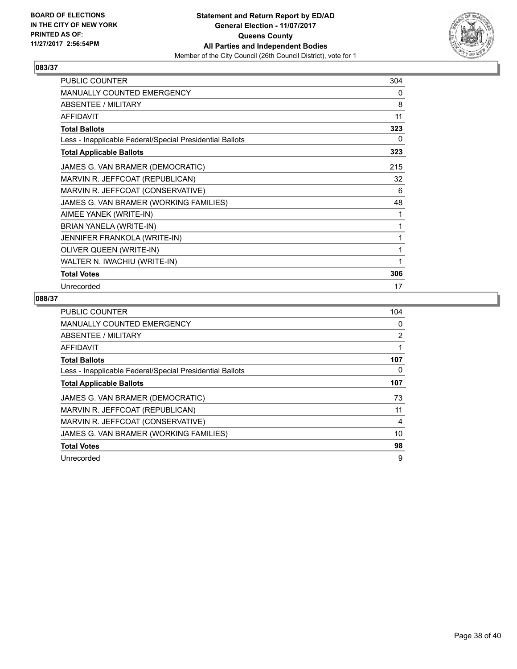

| <b>PUBLIC COUNTER</b>                                    | 304 |
|----------------------------------------------------------|-----|
| <b>MANUALLY COUNTED EMERGENCY</b>                        | 0   |
| ABSENTEE / MILITARY                                      | 8   |
| <b>AFFIDAVIT</b>                                         | 11  |
| <b>Total Ballots</b>                                     | 323 |
| Less - Inapplicable Federal/Special Presidential Ballots | 0   |
| <b>Total Applicable Ballots</b>                          | 323 |
| JAMES G. VAN BRAMER (DEMOCRATIC)                         | 215 |
| MARVIN R. JEFFCOAT (REPUBLICAN)                          | 32  |
| MARVIN R. JEFFCOAT (CONSERVATIVE)                        | 6   |
| JAMES G. VAN BRAMER (WORKING FAMILIES)                   | 48  |
| AIMEE YANEK (WRITE-IN)                                   | 1   |
| BRIAN YANELA (WRITE-IN)                                  | 1   |
| JENNIFER FRANKOLA (WRITE-IN)                             | 1   |
| OLIVER QUEEN (WRITE-IN)                                  |     |
| WALTER N. IWACHIU (WRITE-IN)                             |     |
| <b>Total Votes</b>                                       | 306 |
| Unrecorded                                               | 17  |

| <b>PUBLIC COUNTER</b>                                    | 104            |
|----------------------------------------------------------|----------------|
| MANUALLY COUNTED EMERGENCY                               | 0              |
| ABSENTEE / MILITARY                                      | $\overline{2}$ |
| AFFIDAVIT                                                |                |
| <b>Total Ballots</b>                                     | 107            |
| Less - Inapplicable Federal/Special Presidential Ballots | 0              |
| <b>Total Applicable Ballots</b>                          | 107            |
| JAMES G. VAN BRAMER (DEMOCRATIC)                         | 73             |
| MARVIN R. JEFFCOAT (REPUBLICAN)                          | 11             |
| MARVIN R. JEFFCOAT (CONSERVATIVE)                        | 4              |
| JAMES G. VAN BRAMER (WORKING FAMILIES)                   | 10             |
| <b>Total Votes</b>                                       | 98             |
| Unrecorded                                               | 9              |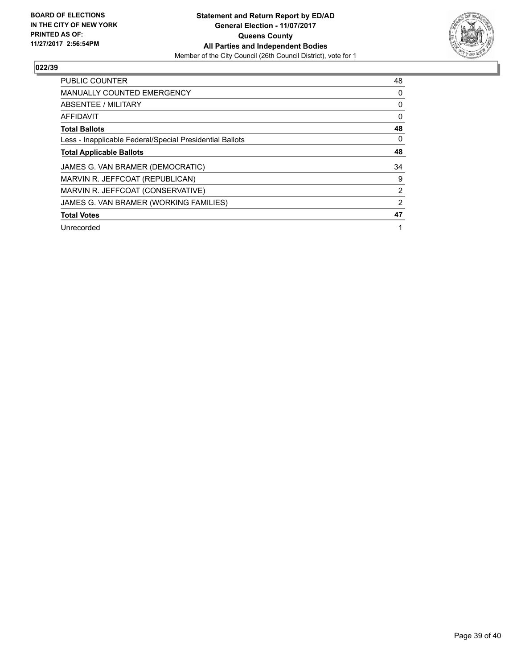

| <b>PUBLIC COUNTER</b>                                    | 48             |
|----------------------------------------------------------|----------------|
| <b>MANUALLY COUNTED EMERGENCY</b>                        | 0              |
| ABSENTEE / MILITARY                                      | 0              |
| AFFIDAVIT                                                | 0              |
| <b>Total Ballots</b>                                     | 48             |
| Less - Inapplicable Federal/Special Presidential Ballots | 0              |
| <b>Total Applicable Ballots</b>                          | 48             |
| JAMES G. VAN BRAMER (DEMOCRATIC)                         | 34             |
| MARVIN R. JEFFCOAT (REPUBLICAN)                          | 9              |
| MARVIN R. JEFFCOAT (CONSERVATIVE)                        | 2              |
| JAMES G. VAN BRAMER (WORKING FAMILIES)                   | $\overline{2}$ |
| <b>Total Votes</b>                                       | 47             |
| Unrecorded                                               | 1              |